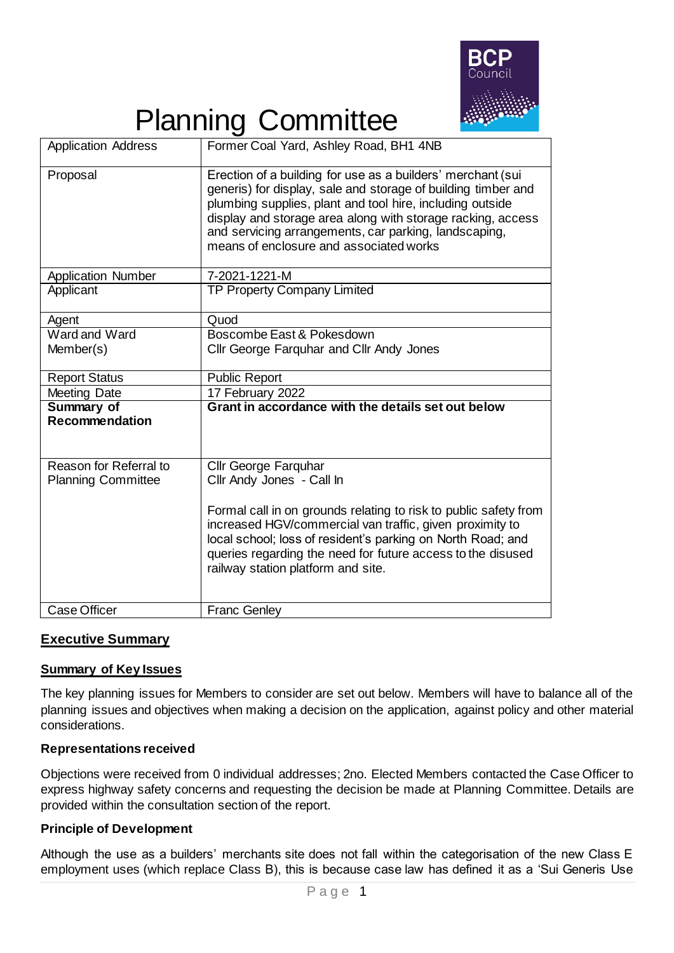

# Planning Committee

| <b>Application Address</b>                          | Former Coal Yard, Ashley Road, BH1 4NB                                                                                                                                                                                                                                                                                                                       |
|-----------------------------------------------------|--------------------------------------------------------------------------------------------------------------------------------------------------------------------------------------------------------------------------------------------------------------------------------------------------------------------------------------------------------------|
| Proposal                                            | Erection of a building for use as a builders' merchant (sui<br>generis) for display, sale and storage of building timber and<br>plumbing supplies, plant and tool hire, including outside<br>display and storage area along with storage racking, access<br>and servicing arrangements, car parking, landscaping,<br>means of enclosure and associated works |
| <b>Application Number</b>                           | 7-2021-1221-M                                                                                                                                                                                                                                                                                                                                                |
| Applicant                                           | TP Property Company Limited                                                                                                                                                                                                                                                                                                                                  |
| Agent                                               | Quod                                                                                                                                                                                                                                                                                                                                                         |
| Ward and Ward                                       | Boscombe East & Pokesdown                                                                                                                                                                                                                                                                                                                                    |
| Member(s)                                           | Cllr George Farquhar and Cllr Andy Jones                                                                                                                                                                                                                                                                                                                     |
| <b>Report Status</b>                                | <b>Public Report</b>                                                                                                                                                                                                                                                                                                                                         |
| Meeting Date                                        | 17 February 2022                                                                                                                                                                                                                                                                                                                                             |
| <b>Summary of</b><br><b>Recommendation</b>          | Grant in accordance with the details set out below                                                                                                                                                                                                                                                                                                           |
| Reason for Referral to<br><b>Planning Committee</b> | Cllr George Farquhar<br>Cllr Andy Jones - Call In<br>Formal call in on grounds relating to risk to public safety from<br>increased HGV/commercial van traffic, given proximity to<br>local school; loss of resident's parking on North Road; and<br>queries regarding the need for future access to the disused<br>railway station platform and site.        |
| <b>Case Officer</b>                                 | <b>Franc Genley</b>                                                                                                                                                                                                                                                                                                                                          |

# **Executive Summary**

#### **Summary of Key Issues**

The key planning issues for Members to consider are set out below. Members will have to balance all of the planning issues and objectives when making a decision on the application, against policy and other material considerations.

#### **Representations received**

Objections were received from 0 individual addresses; 2no. Elected Members contacted the Case Officer to express highway safety concerns and requesting the decision be made at Planning Committee. Details are provided within the consultation section of the report.

#### **Principle of Development**

Although the use as a builders' merchants site does not fall within the categorisation of the new Class E employment uses (which replace Class B), this is because case law has defined it as a 'Sui Generis Use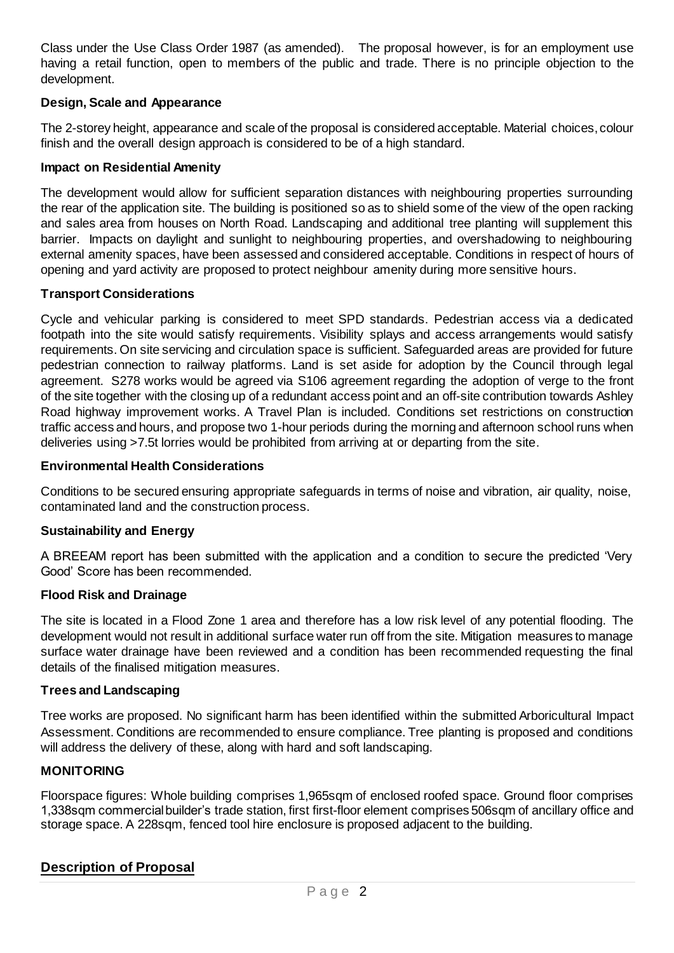Class under the Use Class Order 1987 (as amended). The proposal however, is for an employment use having a retail function, open to members of the public and trade. There is no principle objection to the development.

#### **Design, Scale and Appearance**

The 2-storey height, appearance and scale of the proposal is considered acceptable. Material choices, colour finish and the overall design approach is considered to be of a high standard.

#### **Impact on Residential Amenity**

The development would allow for sufficient separation distances with neighbouring properties surrounding the rear of the application site. The building is positioned so as to shield some of the view of the open racking and sales area from houses on North Road. Landscaping and additional tree planting will supplement this barrier. Impacts on daylight and sunlight to neighbouring properties, and overshadowing to neighbouring external amenity spaces, have been assessed and considered acceptable. Conditions in respect of hours of opening and yard activity are proposed to protect neighbour amenity during more sensitive hours.

#### **Transport Considerations**

Cycle and vehicular parking is considered to meet SPD standards. Pedestrian access via a dedicated footpath into the site would satisfy requirements. Visibility splays and access arrangements would satisfy requirements. On site servicing and circulation space is sufficient. Safeguarded areas are provided for future pedestrian connection to railway platforms. Land is set aside for adoption by the Council through legal agreement. S278 works would be agreed via S106 agreement regarding the adoption of verge to the front of the site together with the closing up of a redundant access point and an off-site contribution towards Ashley Road highway improvement works. A Travel Plan is included. Conditions set restrictions on construction traffic access and hours, and propose two 1-hour periods during the morning and afternoon school runs when deliveries using >7.5t lorries would be prohibited from arriving at or departing from the site.

#### **Environmental Health Considerations**

Conditions to be secured ensuring appropriate safeguards in terms of noise and vibration, air quality, noise, contaminated land and the construction process.

#### **Sustainability and Energy**

A BREEAM report has been submitted with the application and a condition to secure the predicted 'Very Good' Score has been recommended.

#### **Flood Risk and Drainage**

The site is located in a Flood Zone 1 area and therefore has a low risk level of any potential flooding. The development would not result in additional surface water run off from the site. Mitigation measures to manage surface water drainage have been reviewed and a condition has been recommended requesting the final details of the finalised mitigation measures.

#### **Trees and Landscaping**

Tree works are proposed. No significant harm has been identified within the submitted Arboricultural Impact Assessment. Conditions are recommended to ensure compliance. Tree planting is proposed and conditions will address the delivery of these, along with hard and soft landscaping.

#### **MONITORING**

Floorspace figures: Whole building comprises 1,965sqm of enclosed roofed space. Ground floor comprises 1,338sqm commercial builder's trade station, first first-floor element comprises 506sqm of ancillary office and storage space. A 228sqm, fenced tool hire enclosure is proposed adjacent to the building.

#### **Description of Proposal**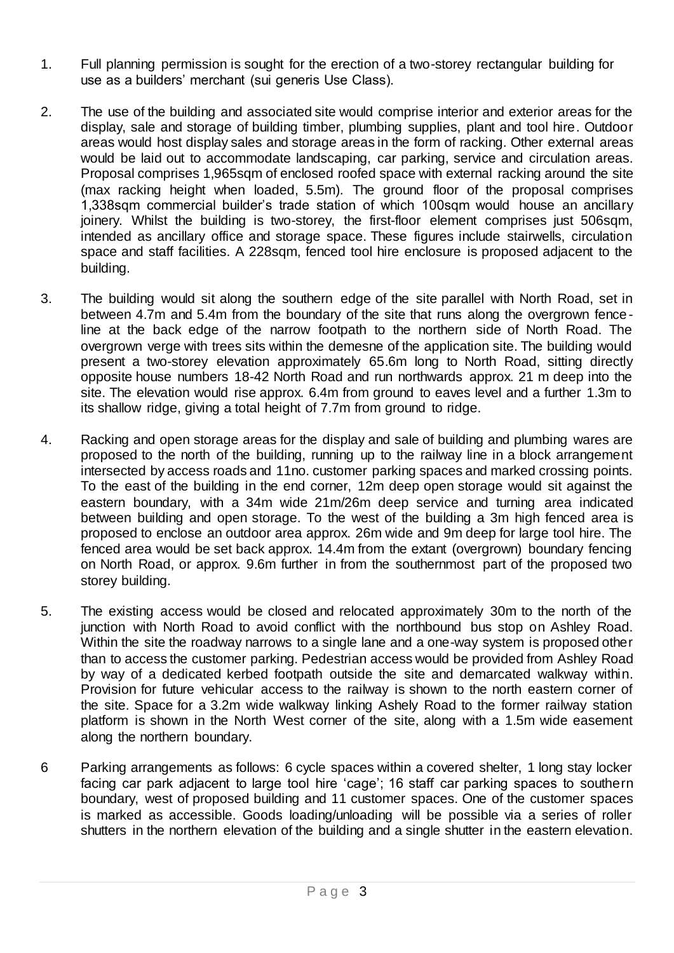- 1. Full planning permission is sought for the erection of a two-storey rectangular building for use as a builders' merchant (sui generis Use Class).
- 2. The use of the building and associated site would comprise interior and exterior areas for the display, sale and storage of building timber, plumbing supplies, plant and tool hire. Outdoor areas would host display sales and storage areas in the form of racking. Other external areas would be laid out to accommodate landscaping, car parking, service and circulation areas. Proposal comprises 1,965sqm of enclosed roofed space with external racking around the site (max racking height when loaded, 5.5m). The ground floor of the proposal comprises 1,338sqm commercial builder's trade station of which 100sqm would house an ancillary joinery. Whilst the building is two-storey, the first-floor element comprises just 506sqm, intended as ancillary office and storage space. These figures include stairwells, circulation space and staff facilities. A 228sqm, fenced tool hire enclosure is proposed adjacent to the building.
- 3. The building would sit along the southern edge of the site parallel with North Road, set in between 4.7m and 5.4m from the boundary of the site that runs along the overgrown fenceline at the back edge of the narrow footpath to the northern side of North Road. The overgrown verge with trees sits within the demesne of the application site. The building would present a two-storey elevation approximately 65.6m long to North Road, sitting directly opposite house numbers 18-42 North Road and run northwards approx. 21 m deep into the site. The elevation would rise approx. 6.4m from ground to eaves level and a further 1.3m to its shallow ridge, giving a total height of 7.7m from ground to ridge.
- 4. Racking and open storage areas for the display and sale of building and plumbing wares are proposed to the north of the building, running up to the railway line in a block arrangement intersected by access roads and 11no. customer parking spaces and marked crossing points. To the east of the building in the end corner, 12m deep open storage would sit against the eastern boundary, with a 34m wide 21m/26m deep service and turning area indicated between building and open storage. To the west of the building a 3m high fenced area is proposed to enclose an outdoor area approx. 26m wide and 9m deep for large tool hire. The fenced area would be set back approx. 14.4m from the extant (overgrown) boundary fencing on North Road, or approx. 9.6m further in from the southernmost part of the proposed two storey building.
- 5. The existing access would be closed and relocated approximately 30m to the north of the junction with North Road to avoid conflict with the northbound bus stop on Ashley Road. Within the site the roadway narrows to a single lane and a one-way system is proposed other than to access the customer parking. Pedestrian access would be provided from Ashley Road by way of a dedicated kerbed footpath outside the site and demarcated walkway within. Provision for future vehicular access to the railway is shown to the north eastern corner of the site. Space for a 3.2m wide walkway linking Ashely Road to the former railway station platform is shown in the North West corner of the site, along with a 1.5m wide easement along the northern boundary.
- 6 Parking arrangements as follows: 6 cycle spaces within a covered shelter, 1 long stay locker facing car park adjacent to large tool hire 'cage'; 16 staff car parking spaces to southern boundary, west of proposed building and 11 customer spaces. One of the customer spaces is marked as accessible. Goods loading/unloading will be possible via a series of roller shutters in the northern elevation of the building and a single shutter in the eastern elevation.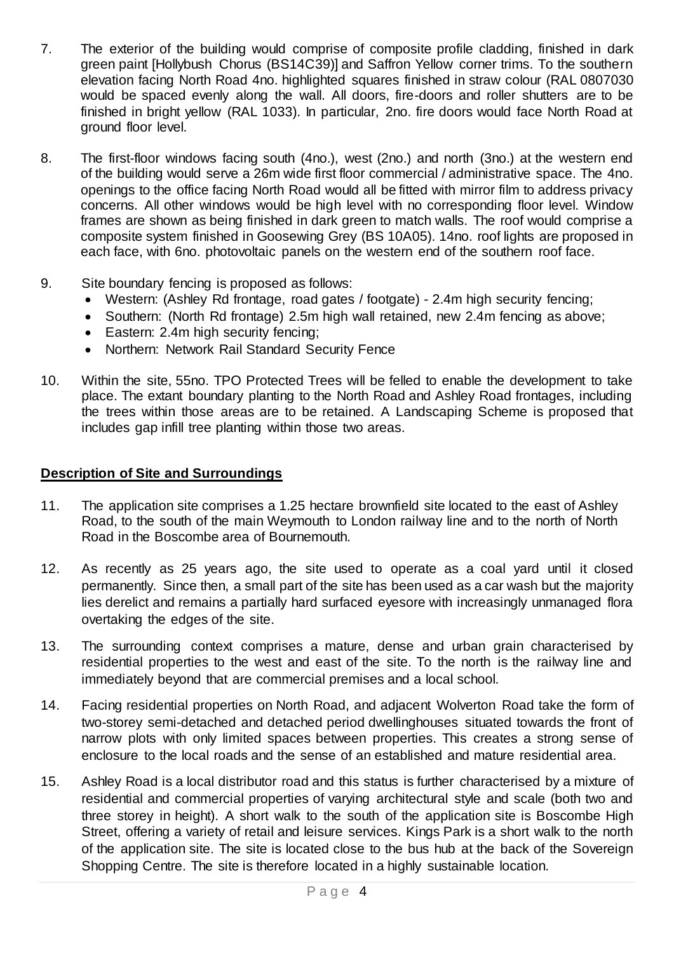- 7. The exterior of the building would comprise of composite profile cladding, finished in dark green paint [Hollybush Chorus (BS14C39)] and Saffron Yellow corner trims. To the southern elevation facing North Road 4no. highlighted squares finished in straw colour (RAL 0807030 would be spaced evenly along the wall. All doors, fire-doors and roller shutters are to be finished in bright yellow (RAL 1033). In particular, 2no. fire doors would face North Road at ground floor level.
- 8. The first-floor windows facing south (4no.), west (2no.) and north (3no.) at the western end of the building would serve a 26m wide first floor commercial / administrative space. The 4no. openings to the office facing North Road would all be fitted with mirror film to address privacy concerns. All other windows would be high level with no corresponding floor level. Window frames are shown as being finished in dark green to match walls. The roof would comprise a composite system finished in Goosewing Grey (BS 10A05). 14no. roof lights are proposed in each face, with 6no. photovoltaic panels on the western end of the southern roof face.
- 9. Site boundary fencing is proposed as follows:
	- Western: (Ashley Rd frontage, road gates / footgate) 2.4m high security fencing;
	- Southern: (North Rd frontage) 2.5m high wall retained, new 2.4m fencing as above;
	- Eastern: 2.4m high security fencing;
	- Northern: Network Rail Standard Security Fence
- 10. Within the site, 55no. TPO Protected Trees will be felled to enable the development to take place. The extant boundary planting to the North Road and Ashley Road frontages, including the trees within those areas are to be retained. A Landscaping Scheme is proposed that includes gap infill tree planting within those two areas.

# **Description of Site and Surroundings**

- 11. The application site comprises a 1.25 hectare brownfield site located to the east of Ashley Road, to the south of the main Weymouth to London railway line and to the north of North Road in the Boscombe area of Bournemouth.
- 12. As recently as 25 years ago, the site used to operate as a coal yard until it closed permanently. Since then, a small part of the site has been used as a car wash but the majority lies derelict and remains a partially hard surfaced eyesore with increasingly unmanaged flora overtaking the edges of the site.
- 13. The surrounding context comprises a mature, dense and urban grain characterised by residential properties to the west and east of the site. To the north is the railway line and immediately beyond that are commercial premises and a local school.
- 14. Facing residential properties on North Road, and adjacent Wolverton Road take the form of two-storey semi-detached and detached period dwellinghouses situated towards the front of narrow plots with only limited spaces between properties. This creates a strong sense of enclosure to the local roads and the sense of an established and mature residential area.
- 15. Ashley Road is a local distributor road and this status is further characterised by a mixture of residential and commercial properties of varying architectural style and scale (both two and three storey in height). A short walk to the south of the application site is Boscombe High Street, offering a variety of retail and leisure services. Kings Park is a short walk to the north of the application site. The site is located close to the bus hub at the back of the Sovereign Shopping Centre. The site is therefore located in a highly sustainable location.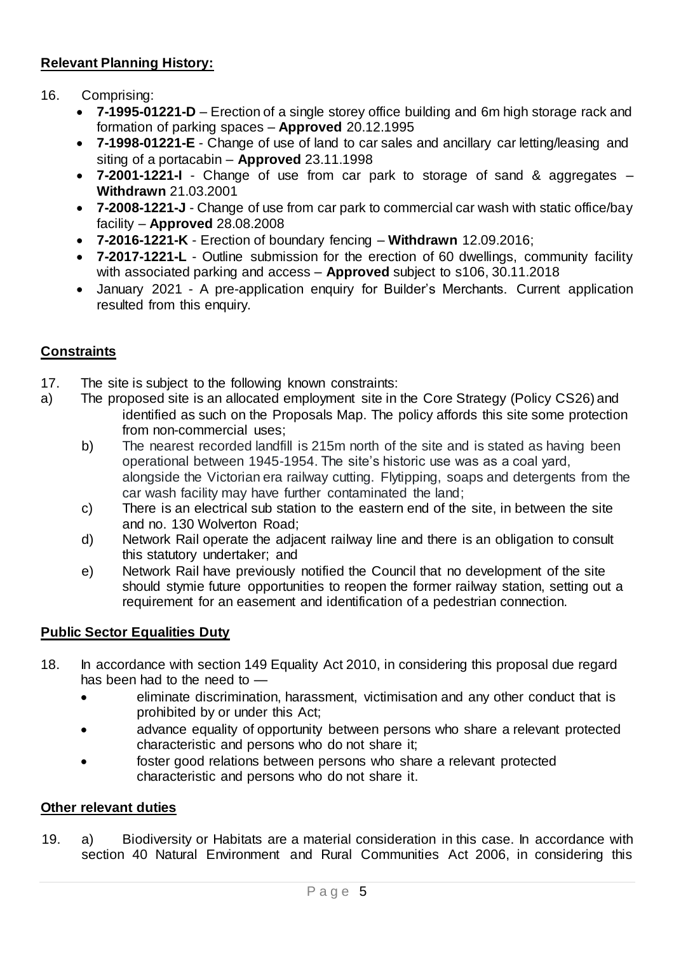# **Relevant Planning History:**

# 16. Comprising:

- **7-1995-01221-D** Erection of a single storey office building and 6m high storage rack and formation of parking spaces – **Approved** 20.12.1995
- **7-1998-01221-E** Change of use of land to car sales and ancillary car letting/leasing and siting of a portacabin – **Approved** 23.11.1998
- **7-2001-1221-I** Change of use from car park to storage of sand & aggregates **Withdrawn** 21.03.2001
- **7-2008-1221-J**  Change of use from car park to commercial car wash with static office/bay facility – **Approved** 28.08.2008
- **7-2016-1221-K** Erection of boundary fencing **Withdrawn** 12.09.2016;
- **7-2017-1221-L** Outline submission for the erection of 60 dwellings, community facility with associated parking and access – **Approved** subject to s106, 30.11.2018
- January 2021 A pre-application enquiry for Builder's Merchants. Current application resulted from this enquiry.

# **Constraints**

- 17. The site is subject to the following known constraints:
- a) The proposed site is an allocated employment site in the Core Strategy (Policy CS26) and identified as such on the Proposals Map. The policy affords this site some protection from non-commercial uses;
	- b) The nearest recorded landfill is 215m north of the site and is stated as having been operational between 1945-1954. The site's historic use was as a coal yard, alongside the Victorian era railway cutting. Flytipping, soaps and detergents from the car wash facility may have further contaminated the land;
	- c) There is an electrical sub station to the eastern end of the site, in between the site and no. 130 Wolverton Road;
	- d) Network Rail operate the adjacent railway line and there is an obligation to consult this statutory undertaker; and
	- e) Network Rail have previously notified the Council that no development of the site should stymie future opportunities to reopen the former railway station, setting out a requirement for an easement and identification of a pedestrian connection.

# **Public Sector Equalities Duty**

- 18. In accordance with section 149 Equality Act 2010, in considering this proposal due regard has been had to the need to
	- eliminate discrimination, harassment, victimisation and any other conduct that is prohibited by or under this Act;
	- advance equality of opportunity between persons who share a relevant protected characteristic and persons who do not share it;
	- foster good relations between persons who share a relevant protected characteristic and persons who do not share it.

# **Other relevant duties**

19. a) Biodiversity or Habitats are a material consideration in this case. In accordance with section 40 Natural Environment and Rural Communities Act 2006, in considering this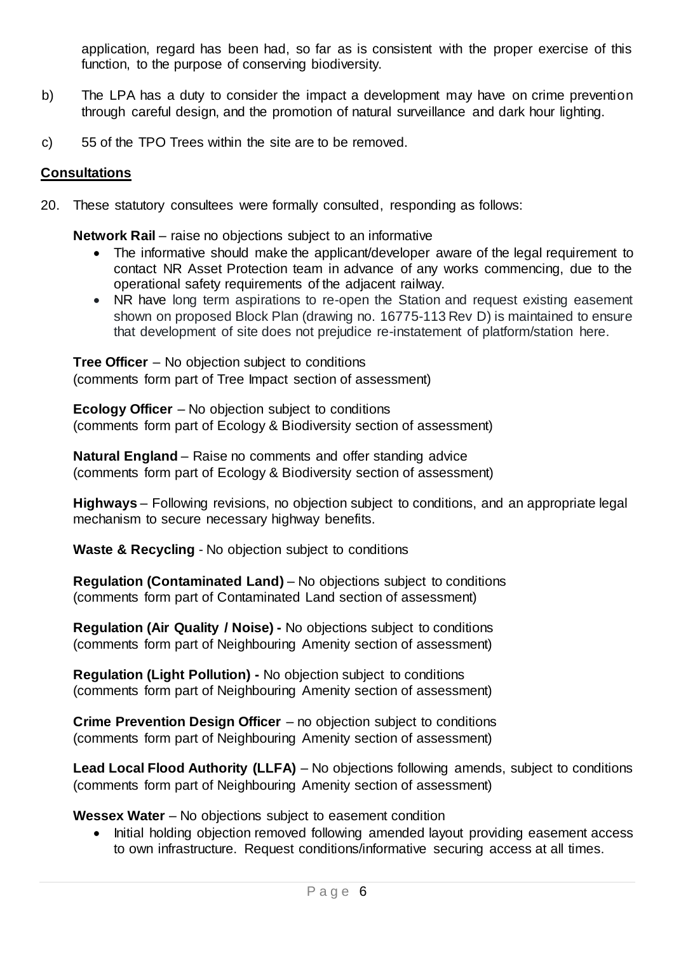application, regard has been had, so far as is consistent with the proper exercise of this function, to the purpose of conserving biodiversity.

- b) The LPA has a duty to consider the impact a development may have on crime prevention through careful design, and the promotion of natural surveillance and dark hour lighting.
- c) 55 of the TPO Trees within the site are to be removed.

# **Consultations**

20. These statutory consultees were formally consulted, responding as follows:

**Network Rail** – raise no objections subject to an informative

- The informative should make the applicant/developer aware of the legal requirement to contact NR Asset Protection team in advance of any works commencing, due to the operational safety requirements of the adjacent railway.
- NR have long term aspirations to re-open the Station and request existing easement shown on proposed Block Plan (drawing no. 16775-113 Rev D) is maintained to ensure that development of site does not prejudice re-instatement of platform/station here.

**Tree Officer** – No objection subject to conditions (comments form part of Tree Impact section of assessment)

**Ecology Officer** – No objection subject to conditions (comments form part of Ecology & Biodiversity section of assessment)

**Natural England** – Raise no comments and offer standing advice (comments form part of Ecology & Biodiversity section of assessment)

**Highways** – Following revisions, no objection subject to conditions, and an appropriate legal mechanism to secure necessary highway benefits.

**Waste & Recycling** - No objection subject to conditions

**Regulation (Contaminated Land)** – No objections subject to conditions (comments form part of Contaminated Land section of assessment)

**Regulation (Air Quality / Noise) -** No objections subject to conditions (comments form part of Neighbouring Amenity section of assessment)

**Regulation (Light Pollution) -** No objection subject to conditions (comments form part of Neighbouring Amenity section of assessment)

**Crime Prevention Design Officer** – no objection subject to conditions (comments form part of Neighbouring Amenity section of assessment)

**Lead Local Flood Authority (LLFA)** – No objections following amends, subject to conditions (comments form part of Neighbouring Amenity section of assessment)

Wessex Water – No objections subject to easement condition

• Initial holding objection removed following amended layout providing easement access to own infrastructure. Request conditions/informative securing access at all times.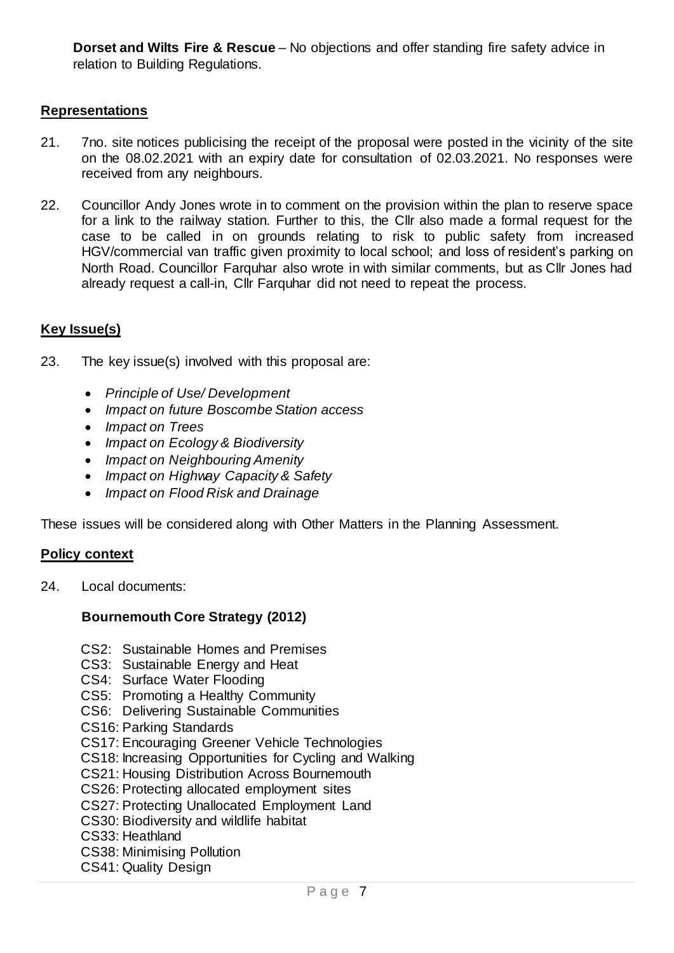**Dorset and Wilts Fire & Rescue** – No objections and offer standing fire safety advice in relation to Building Regulations.

#### **Representations**

- 21. 7no. site notices publicising the receipt of the proposal were posted in the vicinity of the site on the 08.02.2021 with an expiry date for consultation of 02.03.2021. No responses were received from any neighbours.
- 22. Councillor Andy Jones wrote in to comment on the provision within the plan to reserve space for a link to the railway station. Further to this, the Cllr also made a formal request for the case to be called in on grounds relating to risk to public safety from increased HGV/commercial van traffic given proximity to local school; and loss of resident's parking on North Road. Councillor Farquhar also wrote in with similar comments, but as Cllr Jones had already request a call-in, Cllr Farquhar did not need to repeat the process.

# **Key Issue(s)**

- 23. The key issue(s) involved with this proposal are:
	- *Principle of Use/ Development*
	- *Impact on future Boscombe Station access*
	- *Impact on Trees*
	- *Impact on Ecology & Biodiversity*
	- *Impact on Neighbouring Amenity*
	- *Impact on Highway Capacity & Safety*
	- *Impact on Flood Risk and Drainage*

These issues will be considered along with Other Matters in the Planning Assessment.

#### **Policy context**

24. Local documents:

#### **Bournemouth Core Strategy (2012)**

- CS2: Sustainable Homes and Premises
- CS3: Sustainable Energy and Heat
- CS4: Surface Water Flooding
- CS5: Promoting a Healthy Community
- CS6: Delivering Sustainable Communities
- CS16: Parking Standards
- CS17: Encouraging Greener Vehicle Technologies
- CS18: Increasing Opportunities for Cycling and Walking
- CS21: Housing Distribution Across Bournemouth
- CS26: Protecting allocated employment sites
- CS27: Protecting Unallocated Employment Land
- CS30: Biodiversity and wildlife habitat
- CS33: Heathland
- CS38: Minimising Pollution
- CS41: Quality Design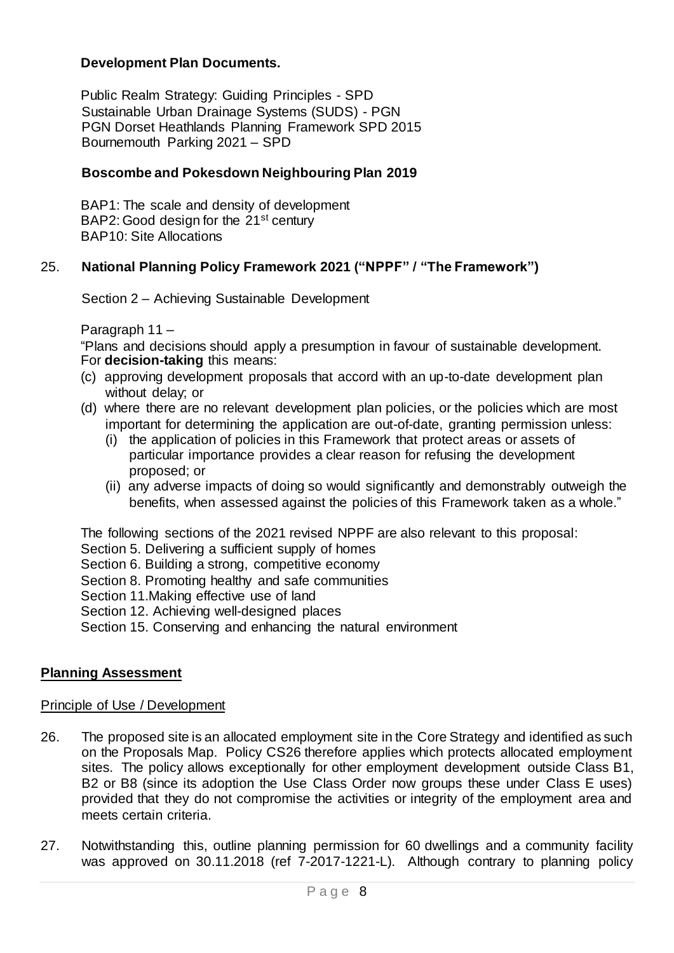#### **Development Plan Documents.**

Public Realm Strategy: Guiding Principles - SPD Sustainable Urban Drainage Systems (SUDS) - PGN PGN Dorset Heathlands Planning Framework SPD 2015 Bournemouth Parking 2021 – SPD

#### **Boscombe and Pokesdown Neighbouring Plan 2019**

BAP1: The scale and density of development BAP2: Good design for the 21<sup>st</sup> century BAP10: Site Allocations

#### 25. **National Planning Policy Framework 2021 ("NPPF" / "The Framework")**

Section 2 – Achieving Sustainable Development

Paragraph 11 –

"Plans and decisions should apply a presumption in favour of sustainable development. For **decision-taking** this means:

- (c) approving development proposals that accord with an up-to-date development plan without delay; or
- (d) where there are no relevant development plan policies, or the policies which are most important for determining the application are out-of-date, granting permission unless:
	- (i) the application of policies in this Framework that protect areas or assets of particular importance provides a clear reason for refusing the development proposed; or
	- (ii) any adverse impacts of doing so would significantly and demonstrably outweigh the benefits, when assessed against the policies of this Framework taken as a whole."

The following sections of the 2021 revised NPPF are also relevant to this proposal:

- Section 5. Delivering a sufficient supply of homes
- Section 6. Building a strong, competitive economy
- Section 8. Promoting healthy and safe communities
- Section 11.Making effective use of land
- Section 12. Achieving well-designed places
- Section 15. Conserving and enhancing the natural environment

#### **Planning Assessment**

#### Principle of Use / Development

- 26. The proposed site is an allocated employment site in the Core Strategy and identified as such on the Proposals Map. Policy CS26 therefore applies which protects allocated employment sites. The policy allows exceptionally for other employment development outside Class B1, B2 or B8 (since its adoption the Use Class Order now groups these under Class E uses) provided that they do not compromise the activities or integrity of the employment area and meets certain criteria.
- 27. Notwithstanding this, outline planning permission for 60 dwellings and a community facility was approved on 30.11.2018 (ref 7-2017-1221-L). Although contrary to planning policy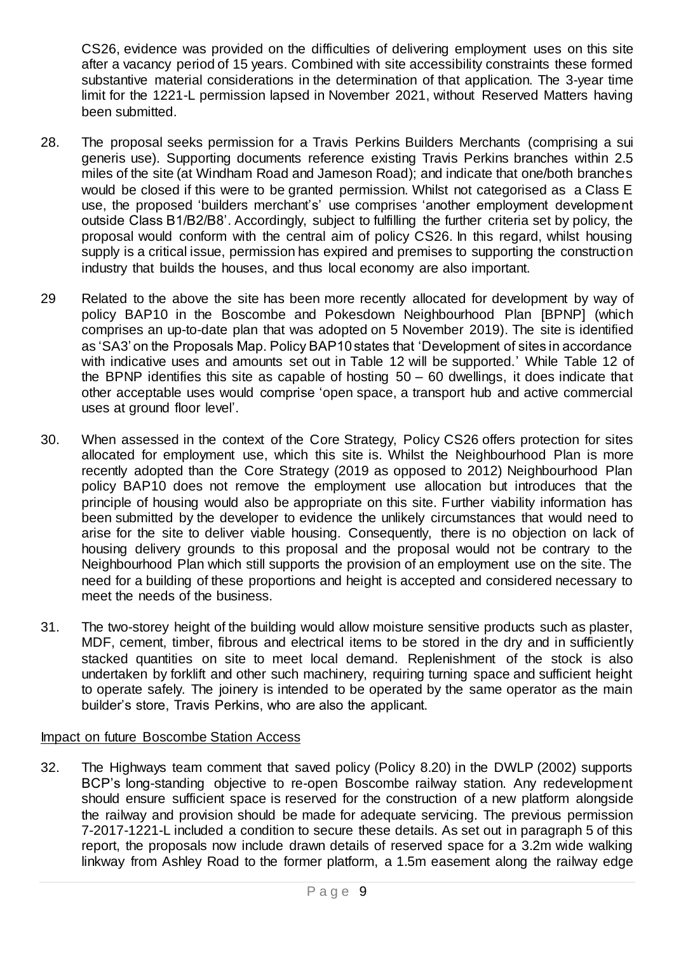CS26, evidence was provided on the difficulties of delivering employment uses on this site after a vacancy period of 15 years. Combined with site accessibility constraints these formed substantive material considerations in the determination of that application. The 3-year time limit for the 1221-L permission lapsed in November 2021, without Reserved Matters having been submitted.

- 28. The proposal seeks permission for a Travis Perkins Builders Merchants (comprising a sui generis use). Supporting documents reference existing Travis Perkins branches within 2.5 miles of the site (at Windham Road and Jameson Road); and indicate that one/both branches would be closed if this were to be granted permission. Whilst not categorised as a Class E use, the proposed 'builders merchant's' use comprises 'another employment development outside Class B1/B2/B8'. Accordingly, subject to fulfilling the further criteria set by policy, the proposal would conform with the central aim of policy CS26. In this regard, whilst housing supply is a critical issue, permission has expired and premises to supporting the construction industry that builds the houses, and thus local economy are also important.
- 29 Related to the above the site has been more recently allocated for development by way of policy BAP10 in the Boscombe and Pokesdown Neighbourhood Plan [BPNP] (which comprises an up-to-date plan that was adopted on 5 November 2019). The site is identified as 'SA3' on the Proposals Map. Policy BAP10 states that 'Development of sites in accordance with indicative uses and amounts set out in Table 12 will be supported.' While Table 12 of the BPNP identifies this site as capable of hosting  $50 - 60$  dwellings, it does indicate that other acceptable uses would comprise 'open space, a transport hub and active commercial uses at ground floor level'.
- 30. When assessed in the context of the Core Strategy, Policy CS26 offers protection for sites allocated for employment use, which this site is. Whilst the Neighbourhood Plan is more recently adopted than the Core Strategy (2019 as opposed to 2012) Neighbourhood Plan policy BAP10 does not remove the employment use allocation but introduces that the principle of housing would also be appropriate on this site. Further viability information has been submitted by the developer to evidence the unlikely circumstances that would need to arise for the site to deliver viable housing. Consequently, there is no objection on lack of housing delivery grounds to this proposal and the proposal would not be contrary to the Neighbourhood Plan which still supports the provision of an employment use on the site. The need for a building of these proportions and height is accepted and considered necessary to meet the needs of the business.
- 31. The two-storey height of the building would allow moisture sensitive products such as plaster, MDF, cement, timber, fibrous and electrical items to be stored in the dry and in sufficiently stacked quantities on site to meet local demand. Replenishment of the stock is also undertaken by forklift and other such machinery, requiring turning space and sufficient height to operate safely. The joinery is intended to be operated by the same operator as the main builder's store, Travis Perkins, who are also the applicant.

# Impact on future Boscombe Station Access

32. The Highways team comment that saved policy (Policy 8.20) in the DWLP (2002) supports BCP's long-standing objective to re-open Boscombe railway station. Any redevelopment should ensure sufficient space is reserved for the construction of a new platform alongside the railway and provision should be made for adequate servicing. The previous permission 7-2017-1221-L included a condition to secure these details. As set out in paragraph 5 of this report, the proposals now include drawn details of reserved space for a 3.2m wide walking linkway from Ashley Road to the former platform, a 1.5m easement along the railway edge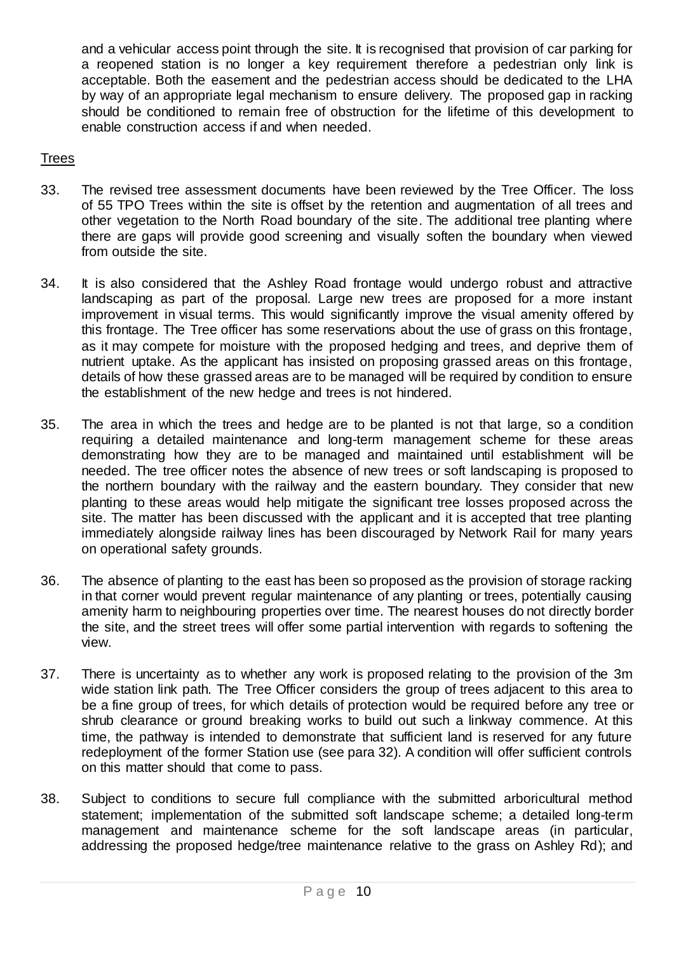and a vehicular access point through the site. It is recognised that provision of car parking for a reopened station is no longer a key requirement therefore a pedestrian only link is acceptable. Both the easement and the pedestrian access should be dedicated to the LHA by way of an appropriate legal mechanism to ensure delivery. The proposed gap in racking should be conditioned to remain free of obstruction for the lifetime of this development to enable construction access if and when needed.

# Trees

- 33. The revised tree assessment documents have been reviewed by the Tree Officer. The loss of 55 TPO Trees within the site is offset by the retention and augmentation of all trees and other vegetation to the North Road boundary of the site. The additional tree planting where there are gaps will provide good screening and visually soften the boundary when viewed from outside the site.
- 34. It is also considered that the Ashley Road frontage would undergo robust and attractive landscaping as part of the proposal. Large new trees are proposed for a more instant improvement in visual terms. This would significantly improve the visual amenity offered by this frontage. The Tree officer has some reservations about the use of grass on this frontage, as it may compete for moisture with the proposed hedging and trees, and deprive them of nutrient uptake. As the applicant has insisted on proposing grassed areas on this frontage, details of how these grassed areas are to be managed will be required by condition to ensure the establishment of the new hedge and trees is not hindered.
- 35. The area in which the trees and hedge are to be planted is not that large, so a condition requiring a detailed maintenance and long-term management scheme for these areas demonstrating how they are to be managed and maintained until establishment will be needed. The tree officer notes the absence of new trees or soft landscaping is proposed to the northern boundary with the railway and the eastern boundary. They consider that new planting to these areas would help mitigate the significant tree losses proposed across the site. The matter has been discussed with the applicant and it is accepted that tree planting immediately alongside railway lines has been discouraged by Network Rail for many years on operational safety grounds.
- 36. The absence of planting to the east has been so proposed as the provision of storage racking in that corner would prevent regular maintenance of any planting or trees, potentially causing amenity harm to neighbouring properties over time. The nearest houses do not directly border the site, and the street trees will offer some partial intervention with regards to softening the view.
- 37. There is uncertainty as to whether any work is proposed relating to the provision of the 3m wide station link path. The Tree Officer considers the group of trees adjacent to this area to be a fine group of trees, for which details of protection would be required before any tree or shrub clearance or ground breaking works to build out such a linkway commence. At this time, the pathway is intended to demonstrate that sufficient land is reserved for any future redeployment of the former Station use (see para 32). A condition will offer sufficient controls on this matter should that come to pass.
- 38. Subject to conditions to secure full compliance with the submitted arboricultural method statement; implementation of the submitted soft landscape scheme; a detailed long-term management and maintenance scheme for the soft landscape areas (in particular, addressing the proposed hedge/tree maintenance relative to the grass on Ashley Rd); and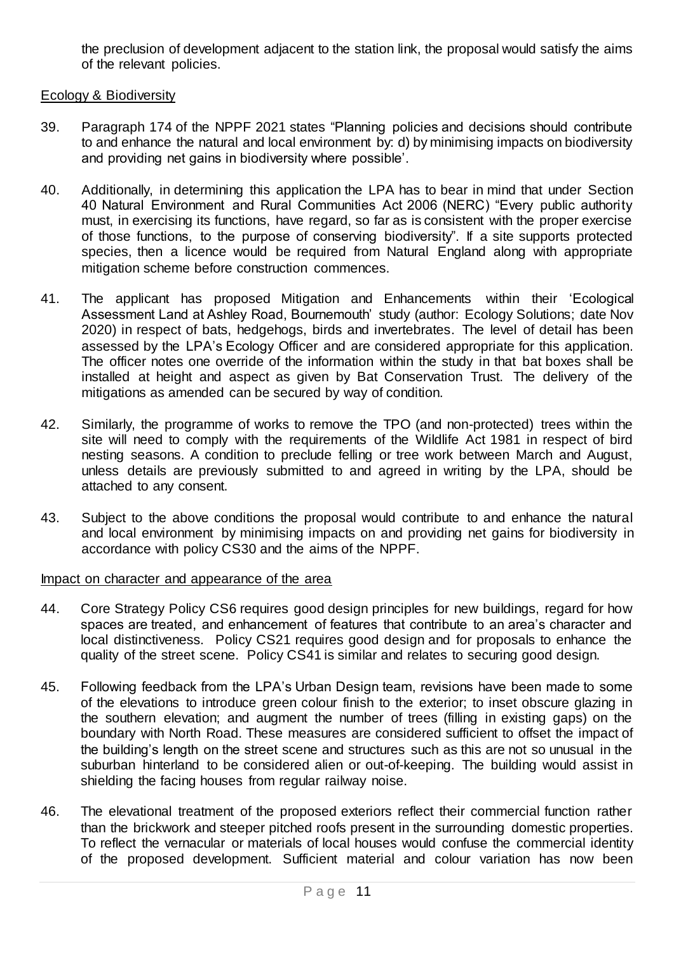the preclusion of development adjacent to the station link, the proposal would satisfy the aims of the relevant policies.

# Ecology & Biodiversity

- 39. Paragraph 174 of the NPPF 2021 states "Planning policies and decisions should contribute to and enhance the natural and local environment by: d) by minimising impacts on biodiversity and providing net gains in biodiversity where possible'.
- 40. Additionally, in determining this application the LPA has to bear in mind that under Section 40 Natural Environment and Rural Communities Act 2006 (NERC) "Every public authority must, in exercising its functions, have regard, so far as is consistent with the proper exercise of those functions, to the purpose of conserving biodiversity". If a site supports protected species, then a licence would be required from Natural England along with appropriate mitigation scheme before construction commences.
- 41. The applicant has proposed Mitigation and Enhancements within their 'Ecological Assessment Land at Ashley Road, Bournemouth' study (author: Ecology Solutions; date Nov 2020) in respect of bats, hedgehogs, birds and invertebrates. The level of detail has been assessed by the LPA's Ecology Officer and are considered appropriate for this application. The officer notes one override of the information within the study in that bat boxes shall be installed at height and aspect as given by Bat Conservation Trust. The delivery of the mitigations as amended can be secured by way of condition.
- 42. Similarly, the programme of works to remove the TPO (and non-protected) trees within the site will need to comply with the requirements of the Wildlife Act 1981 in respect of bird nesting seasons. A condition to preclude felling or tree work between March and August, unless details are previously submitted to and agreed in writing by the LPA, should be attached to any consent.
- 43. Subject to the above conditions the proposal would contribute to and enhance the natural and local environment by minimising impacts on and providing net gains for biodiversity in accordance with policy CS30 and the aims of the NPPF.

# Impact on character and appearance of the area

- 44. Core Strategy Policy CS6 requires good design principles for new buildings, regard for how spaces are treated, and enhancement of features that contribute to an area's character and local distinctiveness. Policy CS21 requires good design and for proposals to enhance the quality of the street scene. Policy CS41 is similar and relates to securing good design.
- 45. Following feedback from the LPA's Urban Design team, revisions have been made to some of the elevations to introduce green colour finish to the exterior; to inset obscure glazing in the southern elevation; and augment the number of trees (filling in existing gaps) on the boundary with North Road. These measures are considered sufficient to offset the impact of the building's length on the street scene and structures such as this are not so unusual in the suburban hinterland to be considered alien or out-of-keeping. The building would assist in shielding the facing houses from regular railway noise.
- 46. The elevational treatment of the proposed exteriors reflect their commercial function rather than the brickwork and steeper pitched roofs present in the surrounding domestic properties. To reflect the vernacular or materials of local houses would confuse the commercial identity of the proposed development. Sufficient material and colour variation has now been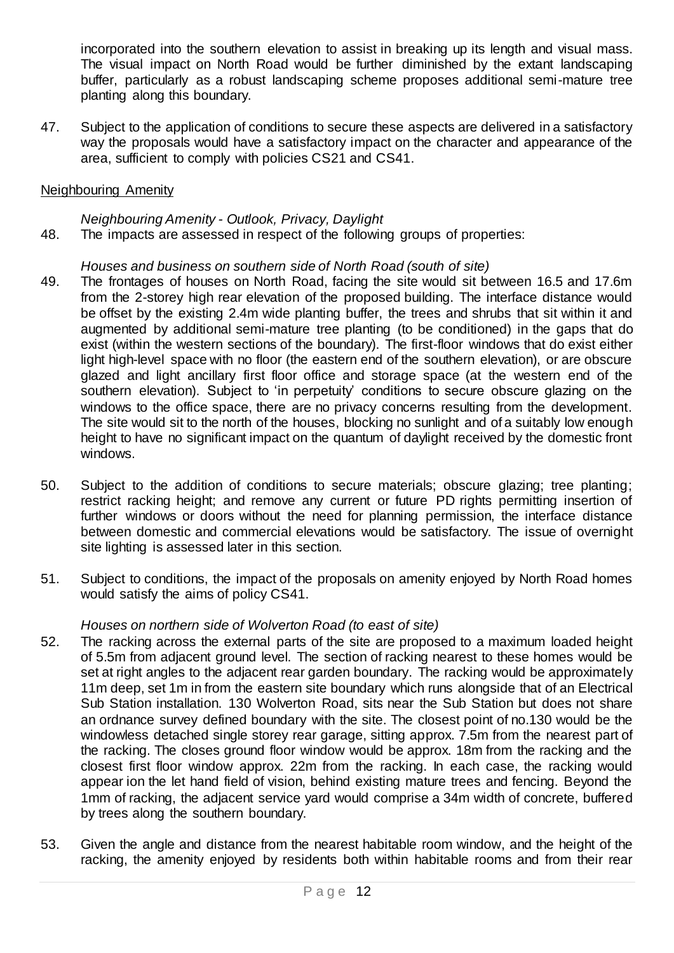incorporated into the southern elevation to assist in breaking up its length and visual mass. The visual impact on North Road would be further diminished by the extant landscaping buffer, particularly as a robust landscaping scheme proposes additional semi-mature tree planting along this boundary.

47. Subject to the application of conditions to secure these aspects are delivered in a satisfactory way the proposals would have a satisfactory impact on the character and appearance of the area, sufficient to comply with policies CS21 and CS41.

# Neighbouring Amenity

*Neighbouring Amenity - Outlook, Privacy, Daylight* 48. The impacts are assessed in respect of the following groups of properties:

*Houses and business on southern side of North Road (south of site)* 

- 49. The frontages of houses on North Road, facing the site would sit between 16.5 and 17.6m from the 2-storey high rear elevation of the proposed building. The interface distance would be offset by the existing 2.4m wide planting buffer, the trees and shrubs that sit within it and augmented by additional semi-mature tree planting (to be conditioned) in the gaps that do exist (within the western sections of the boundary). The first-floor windows that do exist either light high-level space with no floor (the eastern end of the southern elevation), or are obscure glazed and light ancillary first floor office and storage space (at the western end of the southern elevation). Subject to 'in perpetuity' conditions to secure obscure glazing on the windows to the office space, there are no privacy concerns resulting from the development. The site would sit to the north of the houses, blocking no sunlight and of a suitably low enough height to have no significant impact on the quantum of daylight received by the domestic front windows.
- 50. Subject to the addition of conditions to secure materials; obscure glazing; tree planting; restrict racking height; and remove any current or future PD rights permitting insertion of further windows or doors without the need for planning permission, the interface distance between domestic and commercial elevations would be satisfactory. The issue of overnight site lighting is assessed later in this section.
- 51. Subject to conditions, the impact of the proposals on amenity enjoyed by North Road homes would satisfy the aims of policy CS41.

# *Houses on northern side of Wolverton Road (to east of site)*

- 52. The racking across the external parts of the site are proposed to a maximum loaded height of 5.5m from adjacent ground level. The section of racking nearest to these homes would be set at right angles to the adjacent rear garden boundary. The racking would be approximately 11m deep, set 1m in from the eastern site boundary which runs alongside that of an Electrical Sub Station installation. 130 Wolverton Road, sits near the Sub Station but does not share an ordnance survey defined boundary with the site. The closest point of no.130 would be the windowless detached single storey rear garage, sitting approx. 7.5m from the nearest part of the racking. The closes ground floor window would be approx. 18m from the racking and the closest first floor window approx. 22m from the racking. In each case, the racking would appear ion the let hand field of vision, behind existing mature trees and fencing. Beyond the 1mm of racking, the adjacent service yard would comprise a 34m width of concrete, buffered by trees along the southern boundary.
- 53. Given the angle and distance from the nearest habitable room window, and the height of the racking, the amenity enjoyed by residents both within habitable rooms and from their rear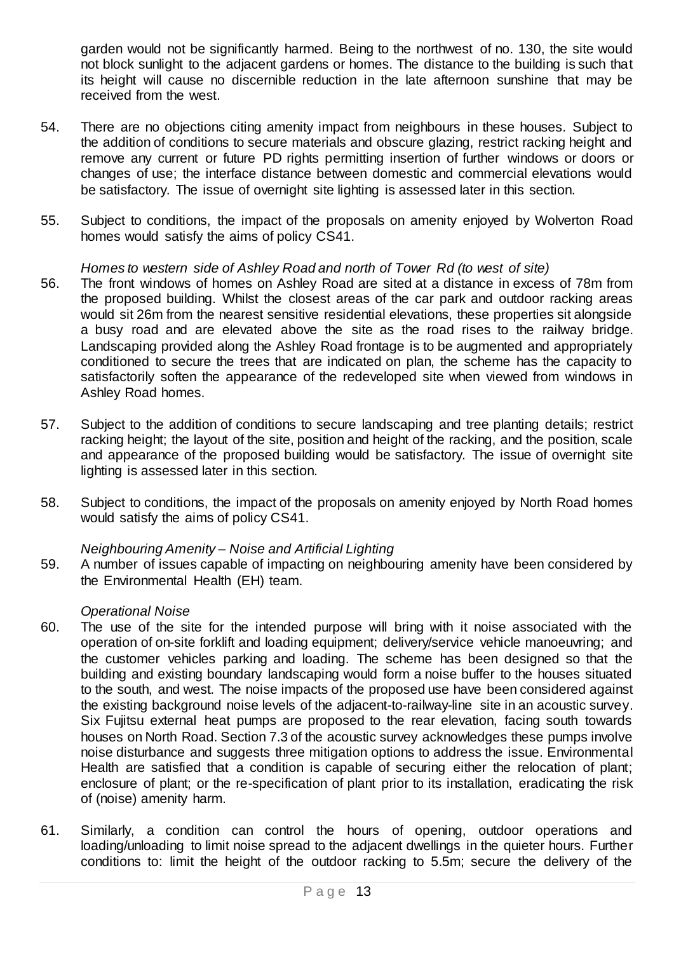garden would not be significantly harmed. Being to the northwest of no. 130, the site would not block sunlight to the adjacent gardens or homes. The distance to the building is such that its height will cause no discernible reduction in the late afternoon sunshine that may be received from the west.

- 54. There are no objections citing amenity impact from neighbours in these houses. Subject to the addition of conditions to secure materials and obscure glazing, restrict racking height and remove any current or future PD rights permitting insertion of further windows or doors or changes of use; the interface distance between domestic and commercial elevations would be satisfactory. The issue of overnight site lighting is assessed later in this section.
- 55. Subject to conditions, the impact of the proposals on amenity enjoyed by Wolverton Road homes would satisfy the aims of policy CS41.

# *Homes to western side of Ashley Road and north of Tower Rd (to west of site)*

- 56. The front windows of homes on Ashley Road are sited at a distance in excess of 78m from the proposed building. Whilst the closest areas of the car park and outdoor racking areas would sit 26m from the nearest sensitive residential elevations, these properties sit alongside a busy road and are elevated above the site as the road rises to the railway bridge. Landscaping provided along the Ashley Road frontage is to be augmented and appropriately conditioned to secure the trees that are indicated on plan, the scheme has the capacity to satisfactorily soften the appearance of the redeveloped site when viewed from windows in Ashley Road homes.
- 57. Subject to the addition of conditions to secure landscaping and tree planting details; restrict racking height; the layout of the site, position and height of the racking, and the position, scale and appearance of the proposed building would be satisfactory. The issue of overnight site lighting is assessed later in this section.
- 58. Subject to conditions, the impact of the proposals on amenity enjoyed by North Road homes would satisfy the aims of policy CS41.

#### *Neighbouring Amenity – Noise and Artificial Lighting*

59. A number of issues capable of impacting on neighbouring amenity have been considered by the Environmental Health (EH) team.

#### *Operational Noise*

- 60. The use of the site for the intended purpose will bring with it noise associated with the operation of on-site forklift and loading equipment; delivery/service vehicle manoeuvring; and the customer vehicles parking and loading. The scheme has been designed so that the building and existing boundary landscaping would form a noise buffer to the houses situated to the south, and west. The noise impacts of the proposed use have been considered against the existing background noise levels of the adjacent-to-railway-line site in an acoustic survey. Six Fujitsu external heat pumps are proposed to the rear elevation, facing south towards houses on North Road. Section 7.3 of the acoustic survey acknowledges these pumps involve noise disturbance and suggests three mitigation options to address the issue. Environmental Health are satisfied that a condition is capable of securing either the relocation of plant; enclosure of plant; or the re-specification of plant prior to its installation, eradicating the risk of (noise) amenity harm.
- 61. Similarly, a condition can control the hours of opening, outdoor operations and loading/unloading to limit noise spread to the adjacent dwellings in the quieter hours. Further conditions to: limit the height of the outdoor racking to 5.5m; secure the delivery of the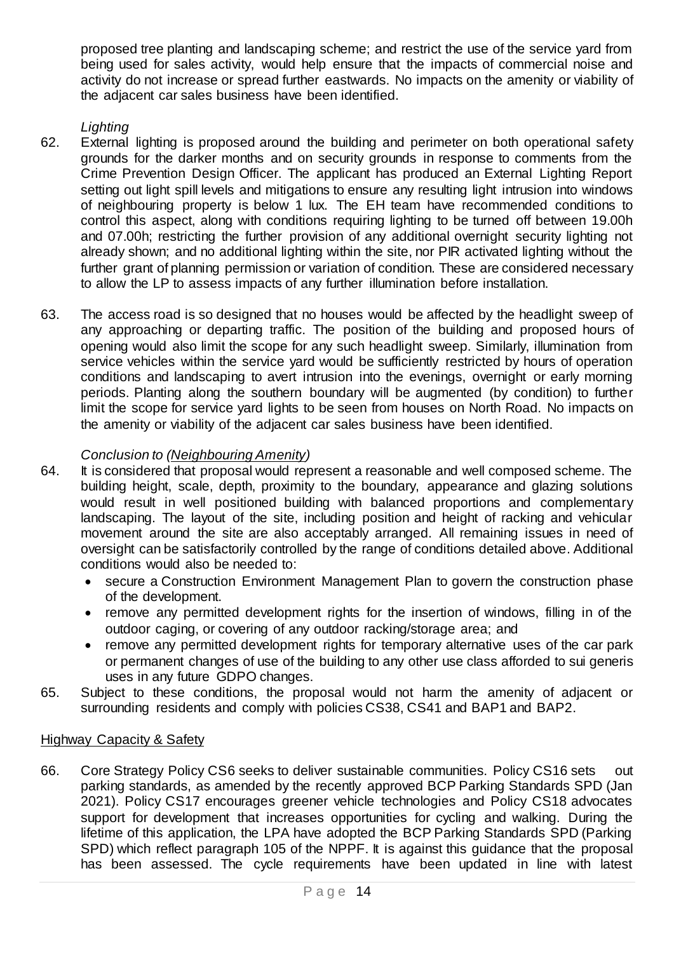proposed tree planting and landscaping scheme; and restrict the use of the service yard from being used for sales activity, would help ensure that the impacts of commercial noise and activity do not increase or spread further eastwards. No impacts on the amenity or viability of the adjacent car sales business have been identified.

# *Lighting*

- 62. External lighting is proposed around the building and perimeter on both operational safety grounds for the darker months and on security grounds in response to comments from the Crime Prevention Design Officer. The applicant has produced an External Lighting Report setting out light spill levels and mitigations to ensure any resulting light intrusion into windows of neighbouring property is below 1 lux. The EH team have recommended conditions to control this aspect, along with conditions requiring lighting to be turned off between 19.00h and 07.00h; restricting the further provision of any additional overnight security lighting not already shown; and no additional lighting within the site, nor PIR activated lighting without the further grant of planning permission or variation of condition. These are considered necessary to allow the LP to assess impacts of any further illumination before installation.
- 63. The access road is so designed that no houses would be affected by the headlight sweep of any approaching or departing traffic. The position of the building and proposed hours of opening would also limit the scope for any such headlight sweep. Similarly, illumination from service vehicles within the service yard would be sufficiently restricted by hours of operation conditions and landscaping to avert intrusion into the evenings, overnight or early morning periods. Planting along the southern boundary will be augmented (by condition) to further limit the scope for service yard lights to be seen from houses on North Road. No impacts on the amenity or viability of the adjacent car sales business have been identified.

# *Conclusion to (Neighbouring Amenity)*

- 64. It is considered that proposal would represent a reasonable and well composed scheme. The building height, scale, depth, proximity to the boundary, appearance and glazing solutions would result in well positioned building with balanced proportions and complementary landscaping. The layout of the site, including position and height of racking and vehicular movement around the site are also acceptably arranged. All remaining issues in need of oversight can be satisfactorily controlled by the range of conditions detailed above. Additional conditions would also be needed to:
	- secure a Construction Environment Management Plan to govern the construction phase of the development.
	- remove any permitted development rights for the insertion of windows, filling in of the outdoor caging, or covering of any outdoor racking/storage area; and
	- remove any permitted development rights for temporary alternative uses of the car park or permanent changes of use of the building to any other use class afforded to sui generis uses in any future GDPO changes.
- 65. Subject to these conditions, the proposal would not harm the amenity of adjacent or surrounding residents and comply with policies CS38, CS41 and BAP1 and BAP2.

# Highway Capacity & Safety

66. Core Strategy Policy CS6 seeks to deliver sustainable communities. Policy CS16 sets out parking standards, as amended by the recently approved BCP Parking Standards SPD (Jan 2021). Policy CS17 encourages greener vehicle technologies and Policy CS18 advocates support for development that increases opportunities for cycling and walking. During the lifetime of this application, the LPA have adopted the BCP Parking Standards SPD (Parking SPD) which reflect paragraph 105 of the NPPF. It is against this guidance that the proposal has been assessed. The cycle requirements have been updated in line with latest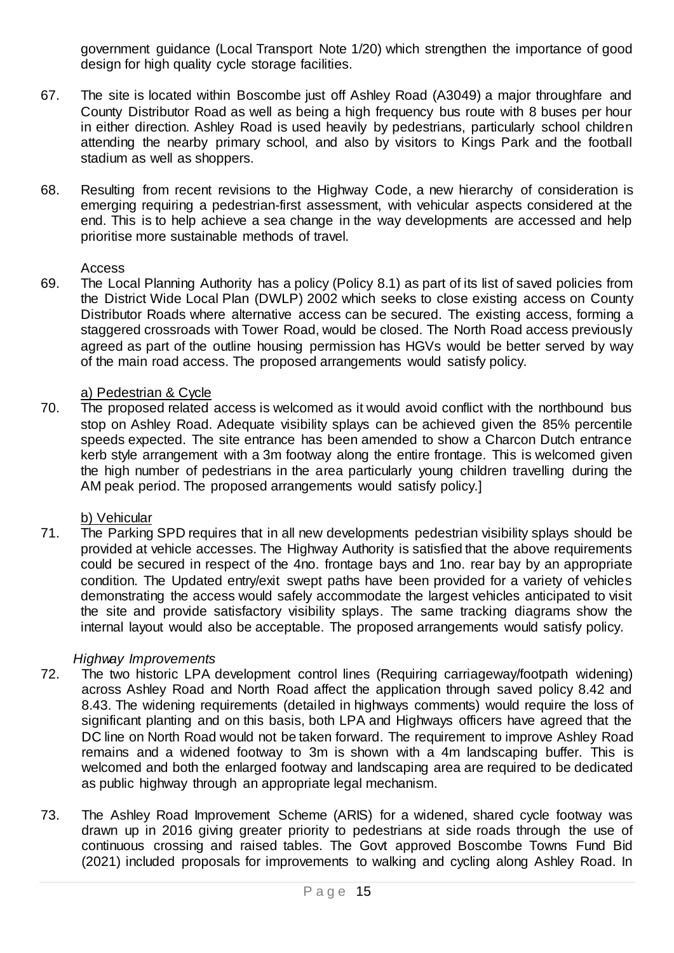government guidance (Local Transport Note 1/20) which strengthen the importance of good design for high quality cycle storage facilities.

- 67. The site is located within Boscombe just off Ashley Road (A3049) a major throughfare and County Distributor Road as well as being a high frequency bus route with 8 buses per hour in either direction. Ashley Road is used heavily by pedestrians, particularly school children attending the nearby primary school, and also by visitors to Kings Park and the football stadium as well as shoppers.
- 68. Resulting from recent revisions to the Highway Code, a new hierarchy of consideration is emerging requiring a pedestrian-first assessment, with vehicular aspects considered at the end. This is to help achieve a sea change in the way developments are accessed and help prioritise more sustainable methods of travel.

#### Access

69. The Local Planning Authority has a policy (Policy 8.1) as part of its list of saved policies from the District Wide Local Plan (DWLP) 2002 which seeks to close existing access on County Distributor Roads where alternative access can be secured. The existing access, forming a staggered crossroads with Tower Road, would be closed. The North Road access previously agreed as part of the outline housing permission has HGVs would be better served by way of the main road access. The proposed arrangements would satisfy policy.

#### a) Pedestrian & Cycle

70. The proposed related access is welcomed as it would avoid conflict with the northbound bus stop on Ashley Road. Adequate visibility splays can be achieved given the 85% percentile speeds expected. The site entrance has been amended to show a Charcon Dutch entrance kerb style arrangement with a 3m footway along the entire frontage. This is welcomed given the high number of pedestrians in the area particularly young children travelling during the AM peak period. The proposed arrangements would satisfy policy.]

# b) Vehicular

71. The Parking SPD requires that in all new developments pedestrian visibility splays should be provided at vehicle accesses. The Highway Authority is satisfied that the above requirements could be secured in respect of the 4no. frontage bays and 1no. rear bay by an appropriate condition. The Updated entry/exit swept paths have been provided for a variety of vehicles demonstrating the access would safely accommodate the largest vehicles anticipated to visit the site and provide satisfactory visibility splays. The same tracking diagrams show the internal layout would also be acceptable. The proposed arrangements would satisfy policy.

# *Highway Improvements*

- 72. The two historic LPA development control lines (Requiring carriageway/footpath widening) across Ashley Road and North Road affect the application through saved policy 8.42 and 8.43. The widening requirements (detailed in highways comments) would require the loss of significant planting and on this basis, both LPA and Highways officers have agreed that the DC line on North Road would not be taken forward. The requirement to improve Ashley Road remains and a widened footway to 3m is shown with a 4m landscaping buffer. This is welcomed and both the enlarged footway and landscaping area are required to be dedicated as public highway through an appropriate legal mechanism.
- 73. The Ashley Road Improvement Scheme (ARIS) for a widened, shared cycle footway was drawn up in 2016 giving greater priority to pedestrians at side roads through the use of continuous crossing and raised tables. The Govt approved Boscombe Towns Fund Bid (2021) included proposals for improvements to walking and cycling along Ashley Road. In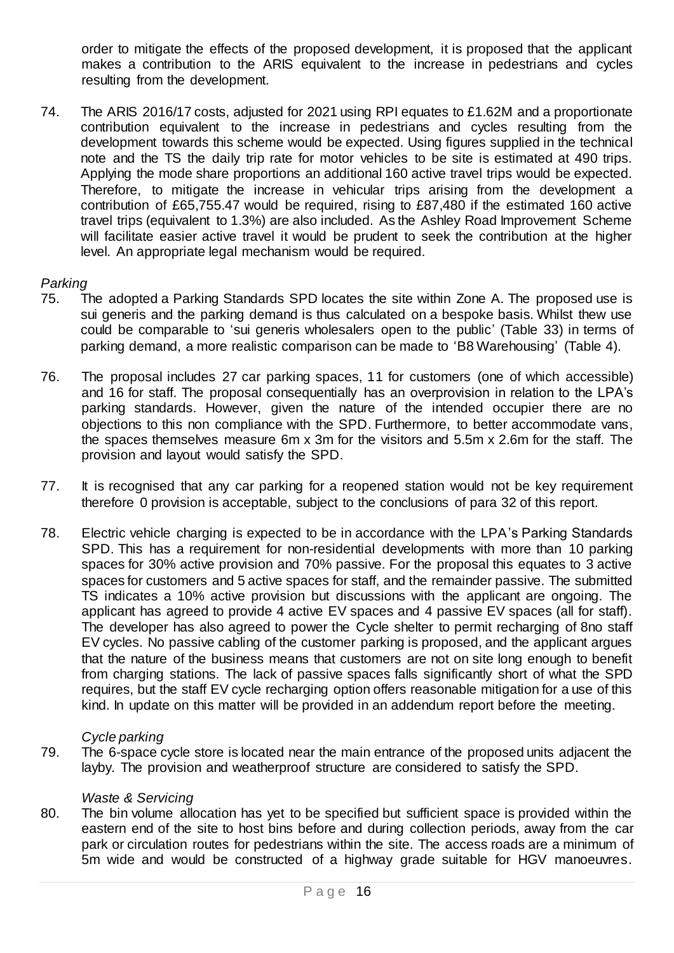order to mitigate the effects of the proposed development, it is proposed that the applicant makes a contribution to the ARIS equivalent to the increase in pedestrians and cycles resulting from the development.

74. The ARIS 2016/17 costs, adjusted for 2021 using RPI equates to £1.62M and a proportionate contribution equivalent to the increase in pedestrians and cycles resulting from the development towards this scheme would be expected. Using figures supplied in the technical note and the TS the daily trip rate for motor vehicles to be site is estimated at 490 trips. Applying the mode share proportions an additional 160 active travel trips would be expected. Therefore, to mitigate the increase in vehicular trips arising from the development a contribution of £65,755.47 would be required, rising to £87,480 if the estimated 160 active travel trips (equivalent to 1.3%) are also included. As the Ashley Road Improvement Scheme will facilitate easier active travel it would be prudent to seek the contribution at the higher level. An appropriate legal mechanism would be required.

# *Parking*

- 75. The adopted a Parking Standards SPD locates the site within Zone A. The proposed use is sui generis and the parking demand is thus calculated on a bespoke basis. Whilst thew use could be comparable to 'sui generis wholesalers open to the public' (Table 33) in terms of parking demand, a more realistic comparison can be made to 'B8 Warehousing' (Table 4).
- 76. The proposal includes 27 car parking spaces, 11 for customers (one of which accessible) and 16 for staff. The proposal consequentially has an overprovision in relation to the LPA's parking standards. However, given the nature of the intended occupier there are no objections to this non compliance with the SPD. Furthermore, to better accommodate vans, the spaces themselves measure 6m x 3m for the visitors and 5.5m x 2.6m for the staff. The provision and layout would satisfy the SPD.
- 77. It is recognised that any car parking for a reopened station would not be key requirement therefore 0 provision is acceptable, subject to the conclusions of para 32 of this report.
- 78. Electric vehicle charging is expected to be in accordance with the LPA's Parking Standards SPD. This has a requirement for non-residential developments with more than 10 parking spaces for 30% active provision and 70% passive. For the proposal this equates to 3 active spaces for customers and 5 active spaces for staff, and the remainder passive. The submitted TS indicates a 10% active provision but discussions with the applicant are ongoing. The applicant has agreed to provide 4 active EV spaces and 4 passive EV spaces (all for staff). The developer has also agreed to power the Cycle shelter to permit recharging of 8no staff EV cycles. No passive cabling of the customer parking is proposed, and the applicant argues that the nature of the business means that customers are not on site long enough to benefit from charging stations. The lack of passive spaces falls significantly short of what the SPD requires, but the staff EV cycle recharging option offers reasonable mitigation for a use of this kind. In update on this matter will be provided in an addendum report before the meeting.

#### *Cycle parking*

79. The 6-space cycle store is located near the main entrance of the proposed units adjacent the layby. The provision and weatherproof structure are considered to satisfy the SPD.

#### *Waste & Servicing*

80. The bin volume allocation has yet to be specified but sufficient space is provided within the eastern end of the site to host bins before and during collection periods, away from the car park or circulation routes for pedestrians within the site. The access roads are a minimum of 5m wide and would be constructed of a highway grade suitable for HGV manoeuvres.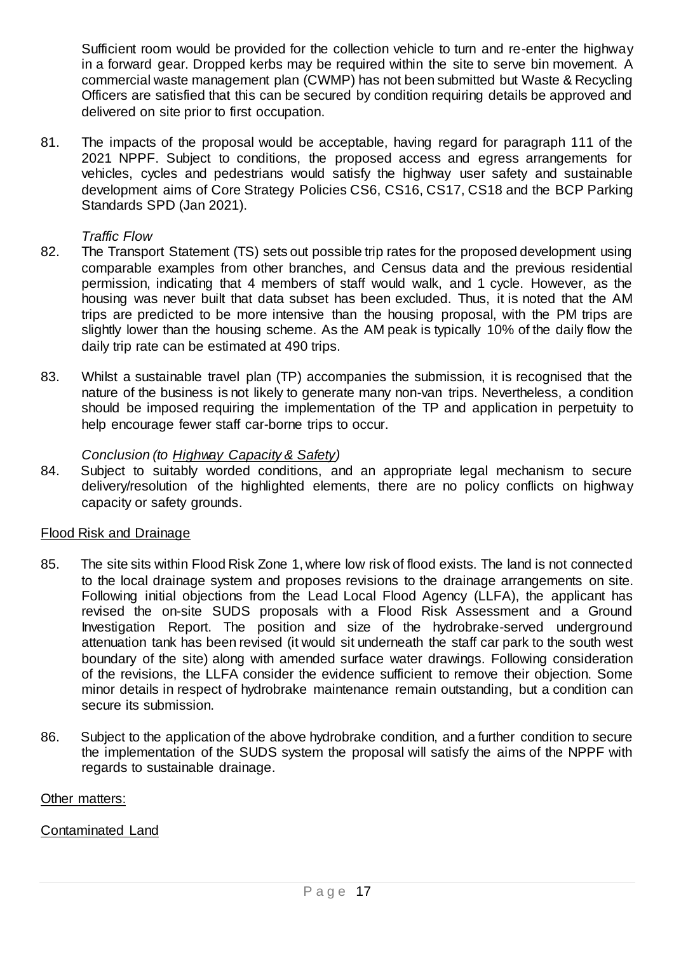Sufficient room would be provided for the collection vehicle to turn and re-enter the highway in a forward gear. Dropped kerbs may be required within the site to serve bin movement. A commercial waste management plan (CWMP) has not been submitted but Waste & Recycling Officers are satisfied that this can be secured by condition requiring details be approved and delivered on site prior to first occupation.

81. The impacts of the proposal would be acceptable, having regard for paragraph 111 of the 2021 NPPF. Subject to conditions, the proposed access and egress arrangements for vehicles, cycles and pedestrians would satisfy the highway user safety and sustainable development aims of Core Strategy Policies CS6, CS16, CS17, CS18 and the BCP Parking Standards SPD (Jan 2021).

#### *Traffic Flow*

- 82. The Transport Statement (TS) sets out possible trip rates for the proposed development using comparable examples from other branches, and Census data and the previous residential permission, indicating that 4 members of staff would walk, and 1 cycle. However, as the housing was never built that data subset has been excluded. Thus, it is noted that the AM trips are predicted to be more intensive than the housing proposal, with the PM trips are slightly lower than the housing scheme. As the AM peak is typically 10% of the daily flow the daily trip rate can be estimated at 490 trips.
- 83. Whilst a sustainable travel plan (TP) accompanies the submission, it is recognised that the nature of the business is not likely to generate many non-van trips. Nevertheless, a condition should be imposed requiring the implementation of the TP and application in perpetuity to help encourage fewer staff car-borne trips to occur.

#### *Conclusion (to Highway Capacity & Safety)*

84. Subject to suitably worded conditions, and an appropriate legal mechanism to secure delivery/resolution of the highlighted elements, there are no policy conflicts on highway capacity or safety grounds.

# Flood Risk and Drainage

- 85. The site sits within Flood Risk Zone 1, where low risk of flood exists. The land is not connected to the local drainage system and proposes revisions to the drainage arrangements on site. Following initial objections from the Lead Local Flood Agency (LLFA), the applicant has revised the on-site SUDS proposals with a Flood Risk Assessment and a Ground Investigation Report. The position and size of the hydrobrake-served underground attenuation tank has been revised (it would sit underneath the staff car park to the south west boundary of the site) along with amended surface water drawings. Following consideration of the revisions, the LLFA consider the evidence sufficient to remove their objection. Some minor details in respect of hydrobrake maintenance remain outstanding, but a condition can secure its submission.
- 86. Subject to the application of the above hydrobrake condition, and a further condition to secure the implementation of the SUDS system the proposal will satisfy the aims of the NPPF with regards to sustainable drainage.

#### Other matters:

# Contaminated Land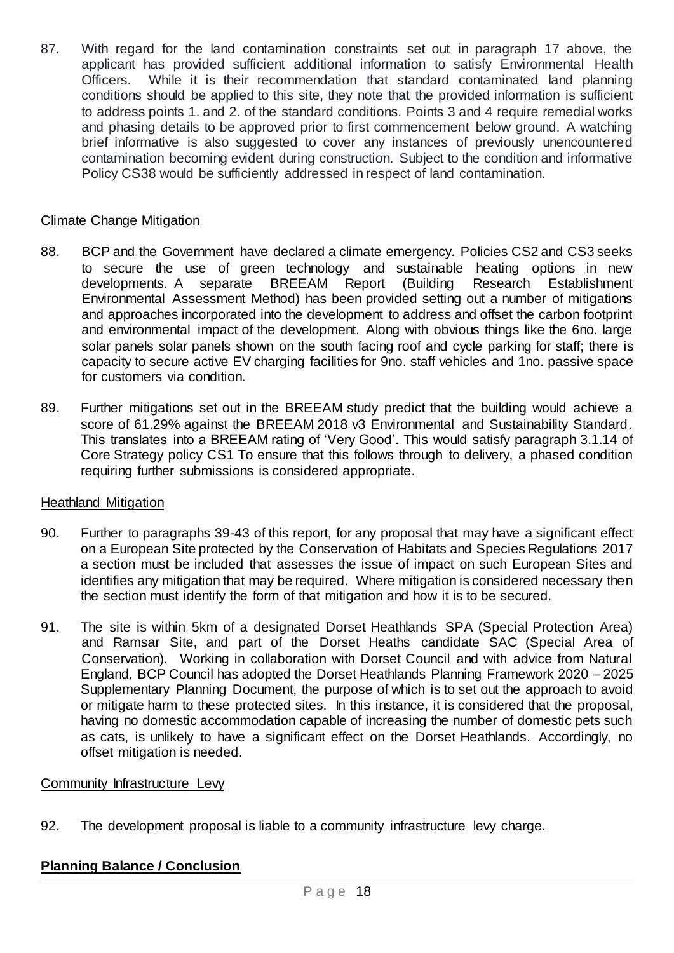87. With regard for the land contamination constraints set out in paragraph 17 above, the applicant has provided sufficient additional information to satisfy Environmental Health Officers. While it is their recommendation that standard contaminated land planning conditions should be applied to this site, they note that the provided information is sufficient to address points 1. and 2. of the standard conditions. Points 3 and 4 require remedial works and phasing details to be approved prior to first commencement below ground. A watching brief informative is also suggested to cover any instances of previously unencountered contamination becoming evident during construction. Subject to the condition and informative Policy CS38 would be sufficiently addressed in respect of land contamination.

# Climate Change Mitigation

- 88. BCP and the Government have declared a climate emergency. Policies CS2 and CS3 seeks to secure the use of green technology and sustainable heating options in new developments. A separate BREEAM Report (Building Research Establishment Environmental Assessment Method) has been provided setting out a number of mitigations and approaches incorporated into the development to address and offset the carbon footprint and environmental impact of the development. Along with obvious things like the 6no. large solar panels solar panels shown on the south facing roof and cycle parking for staff; there is capacity to secure active EV charging facilities for 9no. staff vehicles and 1no. passive space for customers via condition.
- 89. Further mitigations set out in the BREEAM study predict that the building would achieve a score of 61.29% against the BREEAM 2018 v3 Environmental and Sustainability Standard. This translates into a BREEAM rating of 'Very Good'. This would satisfy paragraph 3.1.14 of Core Strategy policy CS1 To ensure that this follows through to delivery, a phased condition requiring further submissions is considered appropriate.

# **Heathland Mitigation**

- 90. Further to paragraphs 39-43 of this report, for any proposal that may have a significant effect on a European Site protected by the Conservation of Habitats and Species Regulations 2017 a section must be included that assesses the issue of impact on such European Sites and identifies any mitigation that may be required. Where mitigation is considered necessary then the section must identify the form of that mitigation and how it is to be secured.
- 91. The site is within 5km of a designated Dorset Heathlands SPA (Special Protection Area) and Ramsar Site, and part of the Dorset Heaths candidate SAC (Special Area of Conservation). Working in collaboration with Dorset Council and with advice from Natural England, BCP Council has adopted the Dorset Heathlands Planning Framework 2020 – 2025 Supplementary Planning Document, the purpose of which is to set out the approach to avoid or mitigate harm to these protected sites. In this instance, it is considered that the proposal, having no domestic accommodation capable of increasing the number of domestic pets such as cats, is unlikely to have a significant effect on the Dorset Heathlands. Accordingly, no offset mitigation is needed.

# Community Infrastructure Levy

92. The development proposal is liable to a community infrastructure levy charge.

# **Planning Balance / Conclusion**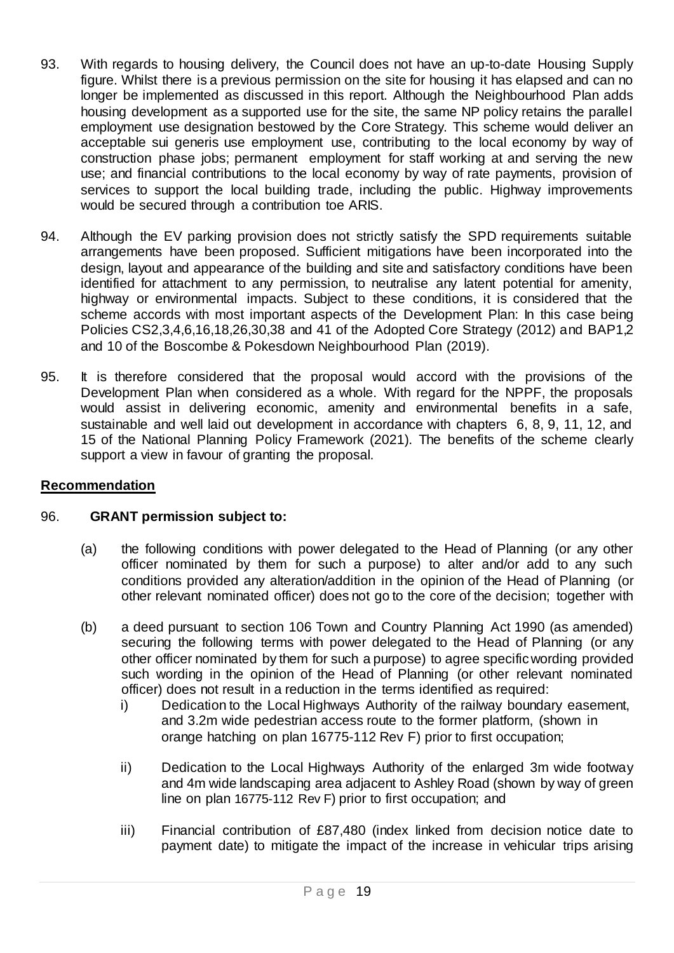- 93. With regards to housing delivery, the Council does not have an up-to-date Housing Supply figure. Whilst there is a previous permission on the site for housing it has elapsed and can no longer be implemented as discussed in this report. Although the Neighbourhood Plan adds housing development as a supported use for the site, the same NP policy retains the parallel employment use designation bestowed by the Core Strategy. This scheme would deliver an acceptable sui generis use employment use, contributing to the local economy by way of construction phase jobs; permanent employment for staff working at and serving the new use; and financial contributions to the local economy by way of rate payments, provision of services to support the local building trade, including the public. Highway improvements would be secured through a contribution toe ARIS.
- 94. Although the EV parking provision does not strictly satisfy the SPD requirements suitable arrangements have been proposed. Sufficient mitigations have been incorporated into the design, layout and appearance of the building and site and satisfactory conditions have been identified for attachment to any permission, to neutralise any latent potential for amenity, highway or environmental impacts. Subject to these conditions, it is considered that the scheme accords with most important aspects of the Development Plan: In this case being Policies CS2,3,4,6,16,18,26,30,38 and 41 of the Adopted Core Strategy (2012) and BAP1,2 and 10 of the Boscombe & Pokesdown Neighbourhood Plan (2019).
- 95. It is therefore considered that the proposal would accord with the provisions of the Development Plan when considered as a whole. With regard for the NPPF, the proposals would assist in delivering economic, amenity and environmental benefits in a safe, sustainable and well laid out development in accordance with chapters 6, 8, 9, 11, 12, and 15 of the National Planning Policy Framework (2021). The benefits of the scheme clearly support a view in favour of granting the proposal.

# **Recommendation**

# 96. **GRANT permission subject to:**

- (a) the following conditions with power delegated to the Head of Planning (or any other officer nominated by them for such a purpose) to alter and/or add to any such conditions provided any alteration/addition in the opinion of the Head of Planning (or other relevant nominated officer) does not go to the core of the decision; together with
- (b) a deed pursuant to section 106 Town and Country Planning Act 1990 (as amended) securing the following terms with power delegated to the Head of Planning (or any other officer nominated by them for such a purpose) to agree specific wording provided such wording in the opinion of the Head of Planning (or other relevant nominated officer) does not result in a reduction in the terms identified as required:
	- i) Dedication to the Local Highways Authority of the railway boundary easement, and 3.2m wide pedestrian access route to the former platform, (shown in orange hatching on plan 16775-112 Rev F) prior to first occupation;
	- ii) Dedication to the Local Highways Authority of the enlarged 3m wide footway and 4m wide landscaping area adjacent to Ashley Road (shown by way of green line on plan 16775-112 Rev F) prior to first occupation; and
	- iii) Financial contribution of £87,480 (index linked from decision notice date to payment date) to mitigate the impact of the increase in vehicular trips arising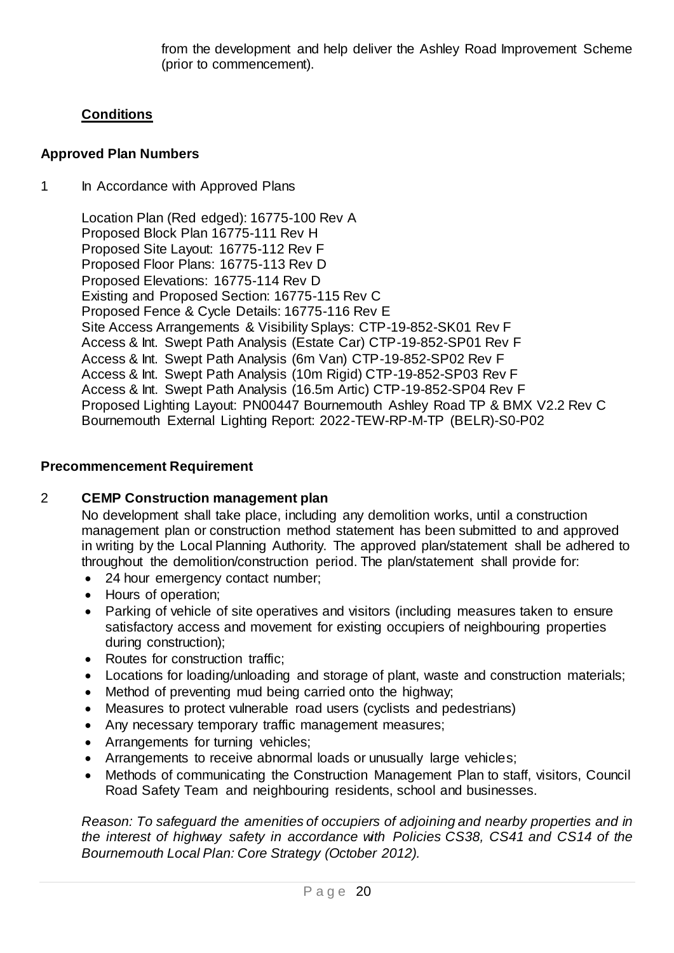from the development and help deliver the Ashley Road Improvement Scheme (prior to commencement).

# **Conditions**

# **Approved Plan Numbers**

1 In Accordance with Approved Plans

Location Plan (Red edged): 16775-100 Rev A Proposed Block Plan 16775-111 Rev H Proposed Site Layout: 16775-112 Rev F Proposed Floor Plans: 16775-113 Rev D Proposed Elevations: 16775-114 Rev D Existing and Proposed Section: 16775-115 Rev C Proposed Fence & Cycle Details: 16775-116 Rev E Site Access Arrangements & Visibility Splays: CTP-19-852-SK01 Rev F Access & Int. Swept Path Analysis (Estate Car) CTP-19-852-SP01 Rev F Access & Int. Swept Path Analysis (6m Van) CTP-19-852-SP02 Rev F Access & Int. Swept Path Analysis (10m Rigid) CTP-19-852-SP03 Rev F Access & Int. Swept Path Analysis (16.5m Artic) CTP-19-852-SP04 Rev F Proposed Lighting Layout: PN00447 Bournemouth Ashley Road TP & BMX V2.2 Rev C Bournemouth External Lighting Report: 2022-TEW-RP-M-TP (BELR)-S0-P02

#### **Precommencement Requirement**

# 2 **CEMP Construction management plan**

No development shall take place, including any demolition works, until a construction management plan or construction method statement has been submitted to and approved in writing by the Local Planning Authority. The approved plan/statement shall be adhered to throughout the demolition/construction period. The plan/statement shall provide for:

- 24 hour emergency contact number;
- Hours of operation;
- Parking of vehicle of site operatives and visitors (including measures taken to ensure satisfactory access and movement for existing occupiers of neighbouring properties during construction);
- Routes for construction traffic;
- Locations for loading/unloading and storage of plant, waste and construction materials;
- Method of preventing mud being carried onto the highway;
- Measures to protect vulnerable road users (cyclists and pedestrians)
- Any necessary temporary traffic management measures;
- Arrangements for turning vehicles;
- Arrangements to receive abnormal loads or unusually large vehicles;
- Methods of communicating the Construction Management Plan to staff, visitors, Council Road Safety Team and neighbouring residents, school and businesses.

*Reason: To safeguard the amenities of occupiers of adjoining and nearby properties and in the interest of highway safety in accordance with Policies CS38, CS41 and CS14 of the Bournemouth Local Plan: Core Strategy (October 2012).*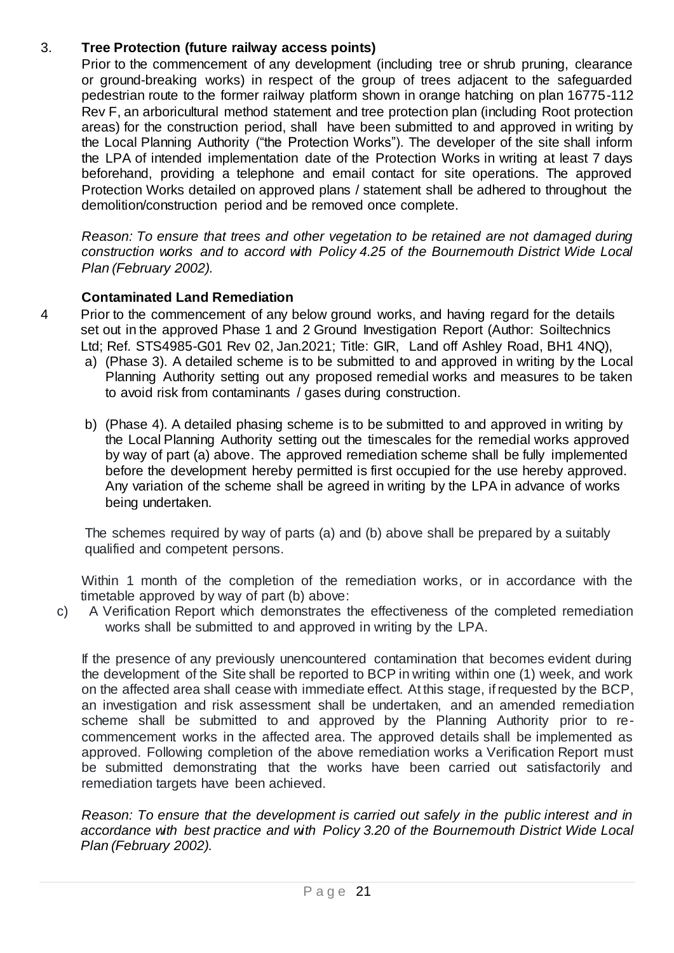# 3. **Tree Protection (future railway access points)**

Prior to the commencement of any development (including tree or shrub pruning, clearance or ground-breaking works) in respect of the group of trees adjacent to the safeguarded pedestrian route to the former railway platform shown in orange hatching on plan 16775-112 Rev F, an arboricultural method statement and tree protection plan (including Root protection areas) for the construction period, shall have been submitted to and approved in writing by the Local Planning Authority ("the Protection Works"). The developer of the site shall inform the LPA of intended implementation date of the Protection Works in writing at least 7 days beforehand, providing a telephone and email contact for site operations. The approved Protection Works detailed on approved plans / statement shall be adhered to throughout the demolition/construction period and be removed once complete.

*Reason: To ensure that trees and other vegetation to be retained are not damaged during construction works and to accord with Policy 4.25 of the Bournemouth District Wide Local Plan (February 2002).*

# **Contaminated Land Remediation**

- 4 Prior to the commencement of any below ground works, and having regard for the details set out in the approved Phase 1 and 2 Ground Investigation Report (Author: Soiltechnics Ltd; Ref. STS4985-G01 Rev 02, Jan.2021; Title: GIR, Land off Ashley Road, BH1 4NQ),
	- a) (Phase 3). A detailed scheme is to be submitted to and approved in writing by the Local Planning Authority setting out any proposed remedial works and measures to be taken to avoid risk from contaminants / gases during construction.
	- b) (Phase 4). A detailed phasing scheme is to be submitted to and approved in writing by the Local Planning Authority setting out the timescales for the remedial works approved by way of part (a) above. The approved remediation scheme shall be fully implemented before the development hereby permitted is first occupied for the use hereby approved. Any variation of the scheme shall be agreed in writing by the LPA in advance of works being undertaken.

The schemes required by way of parts (a) and (b) above shall be prepared by a suitably qualified and competent persons.

Within 1 month of the completion of the remediation works, or in accordance with the timetable approved by way of part (b) above:

c) A Verification Report which demonstrates the effectiveness of the completed remediation works shall be submitted to and approved in writing by the LPA.

If the presence of any previously unencountered contamination that becomes evident during the development of the Site shall be reported to BCP in writing within one (1) week, and work on the affected area shall cease with immediate effect. At this stage, if requested by the BCP, an investigation and risk assessment shall be undertaken, and an amended remediation scheme shall be submitted to and approved by the Planning Authority prior to recommencement works in the affected area. The approved details shall be implemented as approved. Following completion of the above remediation works a Verification Report must be submitted demonstrating that the works have been carried out satisfactorily and remediation targets have been achieved.

*Reason: To ensure that the development is carried out safely in the public interest and in accordance with best practice and with Policy 3.20 of the Bournemouth District Wide Local Plan (February 2002).*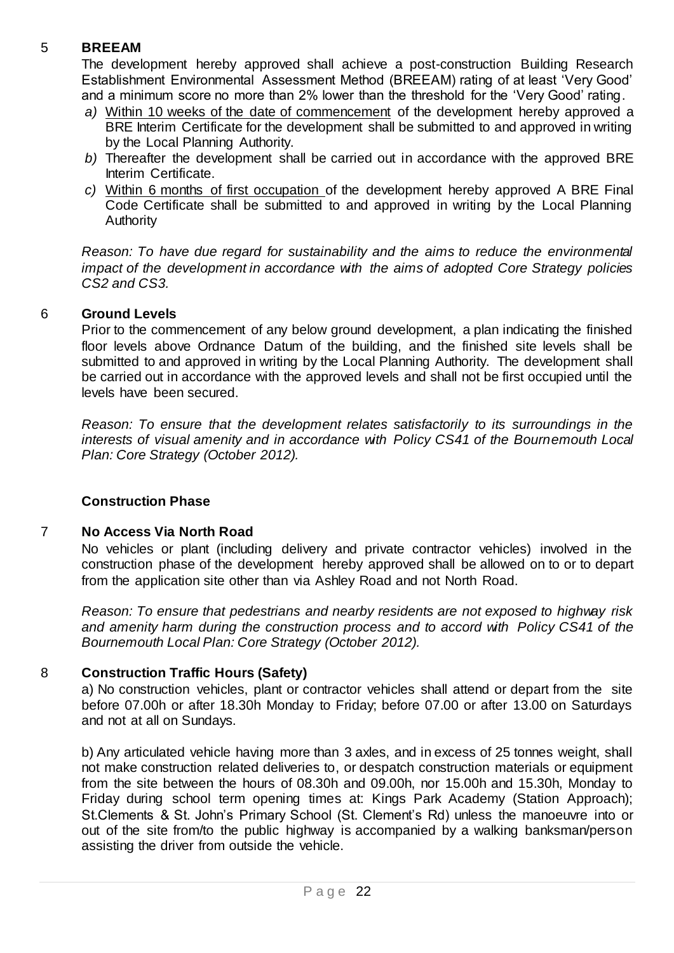# 5 **BREEAM**

The development hereby approved shall achieve a post-construction Building Research Establishment Environmental Assessment Method (BREEAM) rating of at least 'Very Good' and a minimum score no more than 2% lower than the threshold for the 'Very Good' rating.

- *a)* Within 10 weeks of the date of commencement of the development hereby approved a BRE Interim Certificate for the development shall be submitted to and approved in writing by the Local Planning Authority.
- *b)* Thereafter the development shall be carried out in accordance with the approved BRE Interim Certificate.
- *c)* Within 6 months of first occupation of the development hereby approved A BRE Final Code Certificate shall be submitted to and approved in writing by the Local Planning **Authority**

*Reason: To have due regard for sustainability and the aims to reduce the environmental impact of the development in accordance with the aims of adopted Core Strategy policies CS2 and CS3.*

#### 6 **Ground Levels**

Prior to the commencement of any below ground development, a plan indicating the finished floor levels above Ordnance Datum of the building, and the finished site levels shall be submitted to and approved in writing by the Local Planning Authority. The development shall be carried out in accordance with the approved levels and shall not be first occupied until the levels have been secured.

*Reason: To ensure that the development relates satisfactorily to its surroundings in the interests of visual amenity and in accordance with Policy CS41 of the Bournemouth Local Plan: Core Strategy (October 2012).*

#### **Construction Phase**

#### 7 **No Access Via North Road**

No vehicles or plant (including delivery and private contractor vehicles) involved in the construction phase of the development hereby approved shall be allowed on to or to depart from the application site other than via Ashley Road and not North Road.

*Reason: To ensure that pedestrians and nearby residents are not exposed to highway risk and amenity harm during the construction process and to accord with Policy CS41 of the Bournemouth Local Plan: Core Strategy (October 2012).*

# 8 **Construction Traffic Hours (Safety)**

a) No construction vehicles, plant or contractor vehicles shall attend or depart from the site before 07.00h or after 18.30h Monday to Friday; before 07.00 or after 13.00 on Saturdays and not at all on Sundays.

b) Any articulated vehicle having more than 3 axles, and in excess of 25 tonnes weight, shall not make construction related deliveries to, or despatch construction materials or equipment from the site between the hours of 08.30h and 09.00h, nor 15.00h and 15.30h, Monday to Friday during school term opening times at: Kings Park Academy (Station Approach); St.Clements & St. John's Primary School (St. Clement's Rd) unless the manoeuvre into or out of the site from/to the public highway is accompanied by a walking banksman/person assisting the driver from outside the vehicle.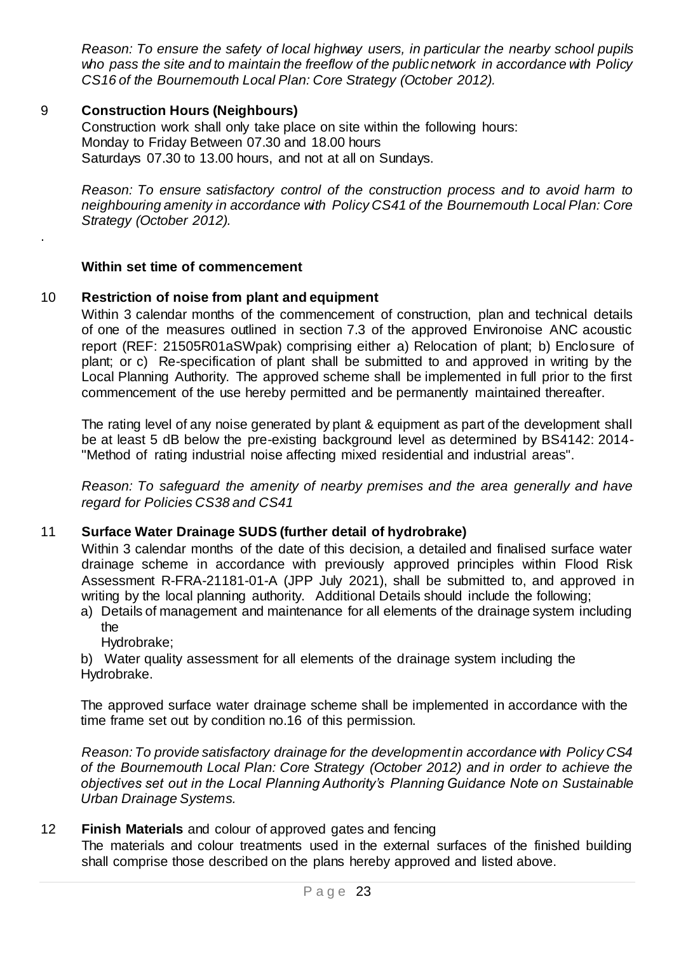*Reason: To ensure the safety of local highway users, in particular the nearby school pupils who pass the site and to maintain the freeflow of the public network in accordance with Policy CS16 of the Bournemouth Local Plan: Core Strategy (October 2012).*

# 9 **Construction Hours (Neighbours)**

.

Construction work shall only take place on site within the following hours: Monday to Friday Between 07.30 and 18.00 hours Saturdays 07.30 to 13.00 hours, and not at all on Sundays.

*Reason: To ensure satisfactory control of the construction process and to avoid harm to neighbouring amenity in accordance with Policy CS41 of the Bournemouth Local Plan: Core Strategy (October 2012).*

#### **Within set time of commencement**

#### 10 **Restriction of noise from plant and equipment**

Within 3 calendar months of the commencement of construction, plan and technical details of one of the measures outlined in section 7.3 of the approved Environoise ANC acoustic report (REF: 21505R01aSWpak) comprising either a) Relocation of plant; b) Enclosure of plant; or c) Re-specification of plant shall be submitted to and approved in writing by the Local Planning Authority. The approved scheme shall be implemented in full prior to the first commencement of the use hereby permitted and be permanently maintained thereafter.

The rating level of any noise generated by plant & equipment as part of the development shall be at least 5 dB below the pre-existing background level as determined by BS4142: 2014- "Method of rating industrial noise affecting mixed residential and industrial areas".

*Reason: To safeguard the amenity of nearby premises and the area generally and have regard for Policies CS38 and CS41*

# 11 **Surface Water Drainage SUDS (further detail of hydrobrake)**

Within 3 calendar months of the date of this decision, a detailed and finalised surface water drainage scheme in accordance with previously approved principles within Flood Risk Assessment R-FRA-21181-01-A (JPP July 2021), shall be submitted to, and approved in writing by the local planning authority. Additional Details should include the following;

a) Details of management and maintenance for all elements of the drainage system including the

Hydrobrake;

b) Water quality assessment for all elements of the drainage system including the Hydrobrake.

The approved surface water drainage scheme shall be implemented in accordance with the time frame set out by condition no.16 of this permission.

*Reason: To provide satisfactory drainage for the development in accordance with Policy CS4 of the Bournemouth Local Plan: Core Strategy (October 2012) and in order to achieve the objectives set out in the Local Planning Authority's Planning Guidance Note on Sustainable Urban Drainage Systems.*

# 12 **Finish Materials** and colour of approved gates and fencing

The materials and colour treatments used in the external surfaces of the finished building shall comprise those described on the plans hereby approved and listed above.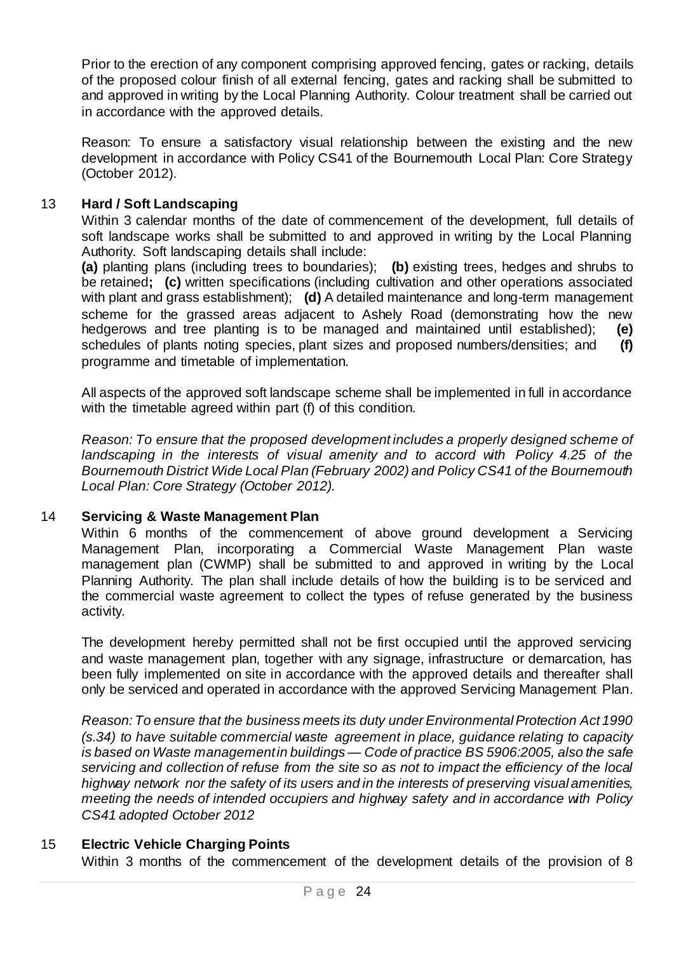Prior to the erection of any component comprising approved fencing, gates or racking, details of the proposed colour finish of all external fencing, gates and racking shall be submitted to and approved in writing by the Local Planning Authority. Colour treatment shall be carried out in accordance with the approved details.

Reason: To ensure a satisfactory visual relationship between the existing and the new development in accordance with Policy CS41 of the Bournemouth Local Plan: Core Strategy (October 2012).

#### 13 **Hard / Soft Landscaping**

Within 3 calendar months of the date of commencement of the development, full details of soft landscape works shall be submitted to and approved in writing by the Local Planning Authority. Soft landscaping details shall include:

**(a)** planting plans (including trees to boundaries); **(b)** existing trees, hedges and shrubs to be retained**; (c)** written specifications (including cultivation and other operations associated with plant and grass establishment); **(d)** A detailed maintenance and long-term management scheme for the grassed areas adjacent to Ashely Road (demonstrating how the new hedgerows and tree planting is to be managed and maintained until established); (e) hedgerows and tree planting is to be managed and maintained until established); schedules of plants noting species, plant sizes and proposed numbers/densities; and **(f)** programme and timetable of implementation.

All aspects of the approved soft landscape scheme shall be implemented in full in accordance with the timetable agreed within part (f) of this condition.

*Reason: To ensure that the proposed development includes a properly designed scheme of*  landscaping in the interests of visual amenity and to accord with Policy 4.25 of the *Bournemouth District Wide Local Plan (February 2002) and Policy CS41 of the Bournemouth Local Plan: Core Strategy (October 2012).*

#### 14 **Servicing & Waste Management Plan**

Within 6 months of the commencement of above ground development a Servicing Management Plan, incorporating a Commercial Waste Management Plan waste management plan (CWMP) shall be submitted to and approved in writing by the Local Planning Authority. The plan shall include details of how the building is to be serviced and the commercial waste agreement to collect the types of refuse generated by the business activity.

The development hereby permitted shall not be first occupied until the approved servicing and waste management plan, together with any signage, infrastructure or demarcation, has been fully implemented on site in accordance with the approved details and thereafter shall only be serviced and operated in accordance with the approved Servicing Management Plan.

*Reason: To ensure that the business meets its duty under Environmental Protection Act 1990 (s.34) to have suitable commercial waste agreement in place, guidance relating to capacity is based on Waste management in buildings — Code of practice BS 5906:2005, also the safe servicing and collection of refuse from the site so as not to impact the efficiency of the local highway network nor the safety of its users and in the interests of preserving visual amenities, meeting the needs of intended occupiers and highway safety and in accordance with Policy CS41 adopted October 2012*

# 15 **Electric Vehicle Charging Points**

Within 3 months of the commencement of the development details of the provision of 8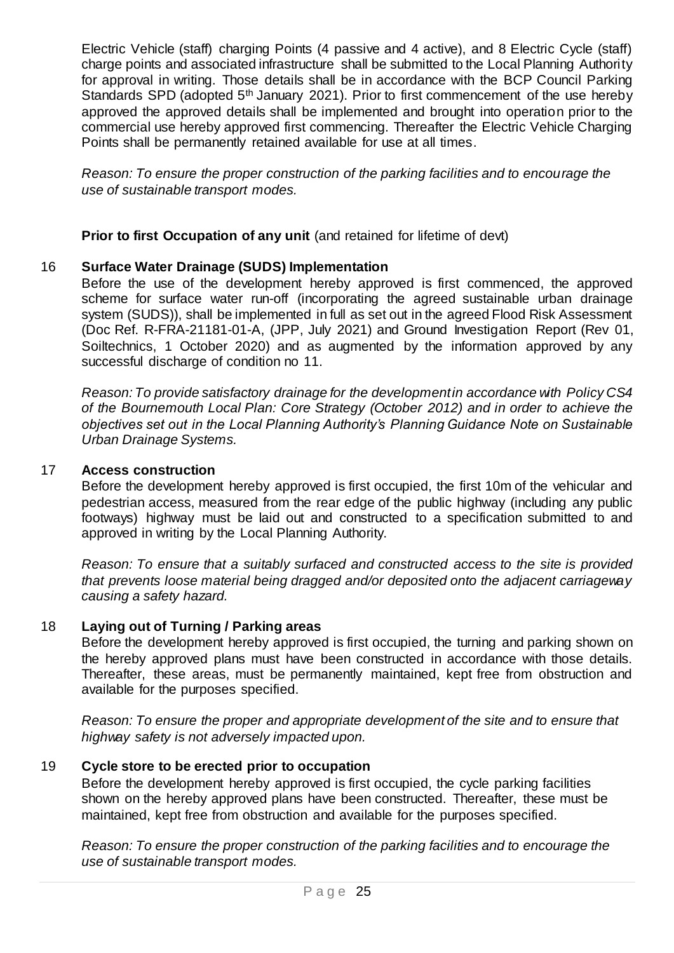Electric Vehicle (staff) charging Points (4 passive and 4 active), and 8 Electric Cycle (staff) charge points and associated infrastructure shall be submitted to the Local Planning Authority for approval in writing. Those details shall be in accordance with the BCP Council Parking Standards SPD (adopted 5<sup>th</sup> January 2021). Prior to first commencement of the use hereby approved the approved details shall be implemented and brought into operation prior to the commercial use hereby approved first commencing. Thereafter the Electric Vehicle Charging Points shall be permanently retained available for use at all times.

*Reason: To ensure the proper construction of the parking facilities and to encourage the use of sustainable transport modes.*

**Prior to first Occupation of any unit** (and retained for lifetime of devt)

# 16 **Surface Water Drainage (SUDS) Implementation**

Before the use of the development hereby approved is first commenced, the approved scheme for surface water run-off (incorporating the agreed sustainable urban drainage system (SUDS)), shall be implemented in full as set out in the agreed Flood Risk Assessment (Doc Ref. R-FRA-21181-01-A, (JPP, July 2021) and Ground Investigation Report (Rev 01, Soiltechnics, 1 October 2020) and as augmented by the information approved by any successful discharge of condition no 11.

*Reason: To provide satisfactory drainage for the development in accordance with Policy CS4 of the Bournemouth Local Plan: Core Strategy (October 2012) and in order to achieve the objectives set out in the Local Planning Authority's Planning Guidance Note on Sustainable Urban Drainage Systems.*

# 17 **Access construction**

Before the development hereby approved is first occupied, the first 10m of the vehicular and pedestrian access, measured from the rear edge of the public highway (including any public footways) highway must be laid out and constructed to a specification submitted to and approved in writing by the Local Planning Authority.

*Reason: To ensure that a suitably surfaced and constructed access to the site is provided that prevents loose material being dragged and/or deposited onto the adjacent carriageway causing a safety hazard.*

# 18 **Laying out of Turning / Parking areas**

Before the development hereby approved is first occupied, the turning and parking shown on the hereby approved plans must have been constructed in accordance with those details. Thereafter, these areas, must be permanently maintained, kept free from obstruction and available for the purposes specified.

*Reason: To ensure the proper and appropriate development of the site and to ensure that highway safety is not adversely impacted upon.*

# 19 **Cycle store to be erected prior to occupation**

Before the development hereby approved is first occupied, the cycle parking facilities shown on the hereby approved plans have been constructed. Thereafter, these must be maintained, kept free from obstruction and available for the purposes specified.

*Reason: To ensure the proper construction of the parking facilities and to encourage the use of sustainable transport modes.*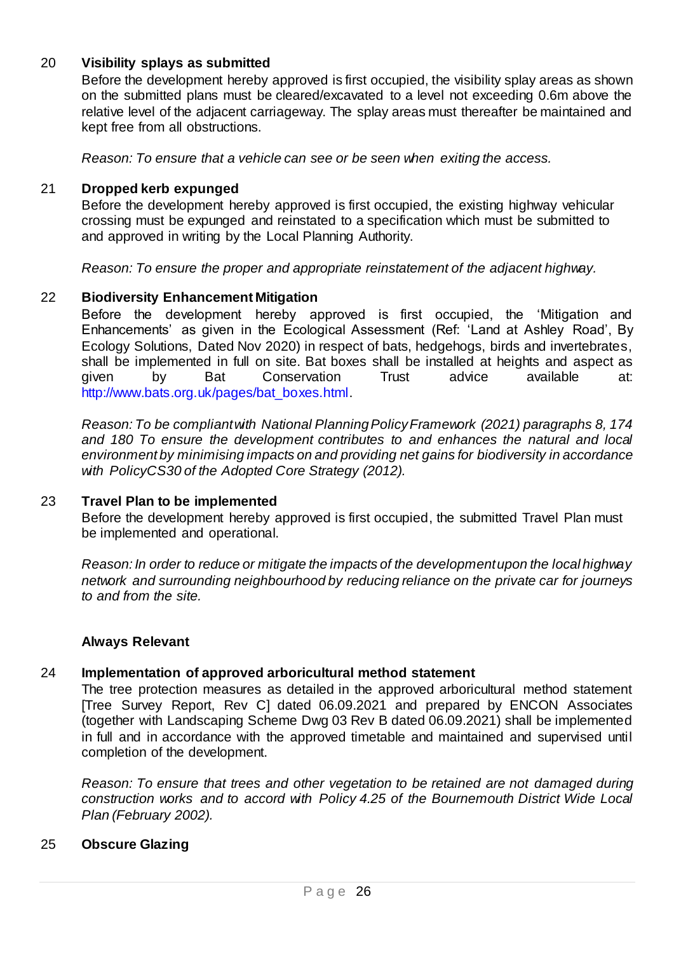# 20 **Visibility splays as submitted**

Before the development hereby approved is first occupied, the visibility splay areas as shown on the submitted plans must be cleared/excavated to a level not exceeding 0.6m above the relative level of the adjacent carriageway. The splay areas must thereafter be maintained and kept free from all obstructions.

*Reason: To ensure that a vehicle can see or be seen when exiting the access.*

#### 21 **Dropped kerb expunged**

Before the development hereby approved is first occupied, the existing highway vehicular crossing must be expunged and reinstated to a specification which must be submitted to and approved in writing by the Local Planning Authority.

*Reason: To ensure the proper and appropriate reinstatement of the adjacent highway.*

#### 22 **Biodiversity Enhancement Mitigation**

Before the development hereby approved is first occupied, the 'Mitigation and Enhancements' as given in the Ecological Assessment (Ref: 'Land at Ashley Road', By Ecology Solutions, Dated Nov 2020) in respect of bats, hedgehogs, birds and invertebrates, shall be implemented in full on site. Bat boxes shall be installed at heights and aspect as given by Bat Conservation Trust advice available at: http://www.bats.org.uk/pages/bat\_boxes.html.

*Reason: To be compliant with National Planning Policy Framework (2021) paragraphs 8, 174 and 180 To ensure the development contributes to and enhances the natural and local environment by minimising impacts on and providing net gains for biodiversity in accordance with PolicyCS30 of the Adopted Core Strategy (2012).*

#### 23 **Travel Plan to be implemented**

Before the development hereby approved is first occupied, the submitted Travel Plan must be implemented and operational.

*Reason: In order to reduce or mitigate the impacts of the development upon the local highway network and surrounding neighbourhood by reducing reliance on the private car for journeys to and from the site.*

#### **Always Relevant**

#### 24 **Implementation of approved arboricultural method statement**

The tree protection measures as detailed in the approved arboricultural method statement [Tree Survey Report, Rev C] dated 06.09.2021 and prepared by ENCON Associates (together with Landscaping Scheme Dwg 03 Rev B dated 06.09.2021) shall be implemented in full and in accordance with the approved timetable and maintained and supervised until completion of the development.

*Reason: To ensure that trees and other vegetation to be retained are not damaged during construction works and to accord with Policy 4.25 of the Bournemouth District Wide Local Plan (February 2002).*

#### 25 **Obscure Glazing**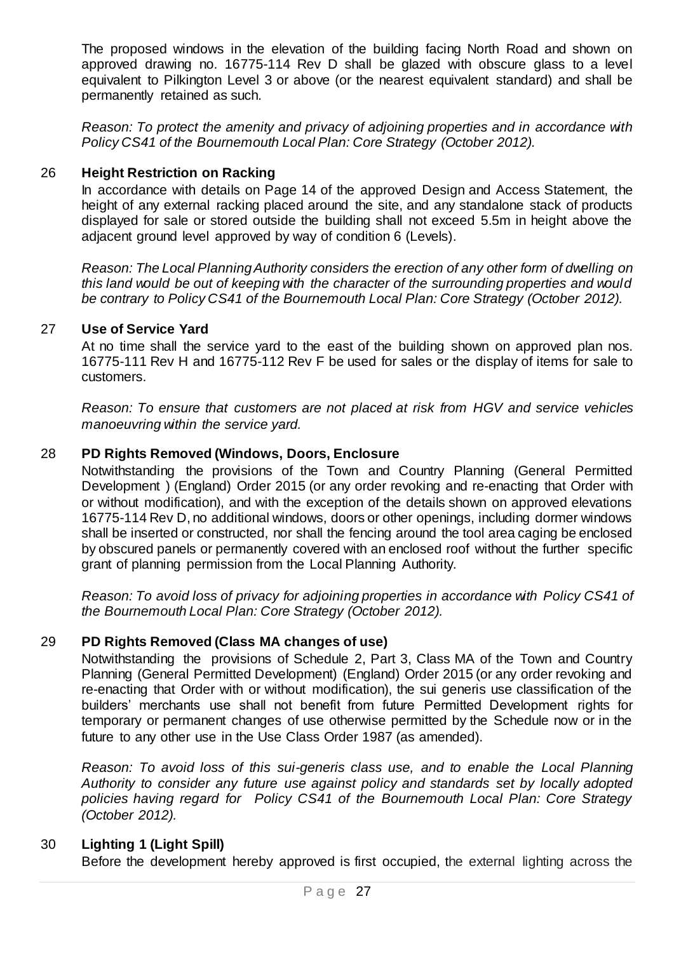The proposed windows in the elevation of the building facing North Road and shown on approved drawing no. 16775-114 Rev D shall be glazed with obscure glass to a level equivalent to Pilkington Level 3 or above (or the nearest equivalent standard) and shall be permanently retained as such.

*Reason: To protect the amenity and privacy of adjoining properties and in accordance with Policy CS41 of the Bournemouth Local Plan: Core Strategy (October 2012).*

# 26 **Height Restriction on Racking**

In accordance with details on Page 14 of the approved Design and Access Statement, the height of any external racking placed around the site, and any standalone stack of products displayed for sale or stored outside the building shall not exceed 5.5m in height above the adjacent ground level approved by way of condition 6 (Levels).

*Reason: The Local Planning Authority considers the erection of any other form of dwelling on this land would be out of keeping with the character of the surrounding properties and would be contrary to Policy CS41 of the Bournemouth Local Plan: Core Strategy (October 2012).*

# 27 **Use of Service Yard**

At no time shall the service yard to the east of the building shown on approved plan nos. 16775-111 Rev H and 16775-112 Rev F be used for sales or the display of items for sale to customers.

*Reason: To ensure that customers are not placed at risk from HGV and service vehicles manoeuvring within the service yard.*

# 28 **PD Rights Removed (Windows, Doors, Enclosure**

Notwithstanding the provisions of the Town and Country Planning (General Permitted Development ) (England) Order 2015 (or any order revoking and re-enacting that Order with or without modification), and with the exception of the details shown on approved elevations 16775-114 Rev D, no additional windows, doors or other openings, including dormer windows shall be inserted or constructed, nor shall the fencing around the tool area caging be enclosed by obscured panels or permanently covered with an enclosed roof without the further specific grant of planning permission from the Local Planning Authority.

*Reason: To avoid loss of privacy for adjoining properties in accordance with Policy CS41 of the Bournemouth Local Plan: Core Strategy (October 2012).* 

# 29 **PD Rights Removed (Class MA changes of use)**

Notwithstanding the provisions of Schedule 2, Part 3, Class MA of the Town and Country Planning (General Permitted Development) (England) Order 2015 (or any order revoking and re-enacting that Order with or without modification), the sui generis use classification of the builders' merchants use shall not benefit from future Permitted Development rights for temporary or permanent changes of use otherwise permitted by the Schedule now or in the future to any other use in the Use Class Order 1987 (as amended).

*Reason: To avoid loss of this sui-generis class use, and to enable the Local Planning Authority to consider any future use against policy and standards set by locally adopted policies having regard for Policy CS41 of the Bournemouth Local Plan: Core Strategy (October 2012).* 

# 30 **Lighting 1 (Light Spill)**

Before the development hereby approved is first occupied, the external lighting across the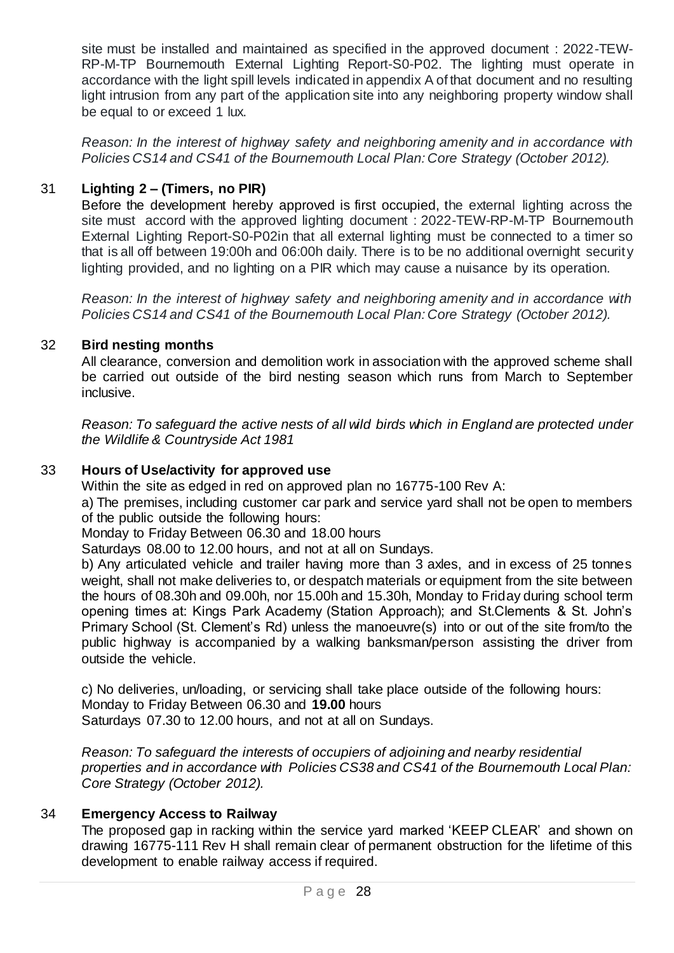site must be installed and maintained as specified in the approved document : 2022-TEW-RP-M-TP Bournemouth External Lighting Report-S0-P02. The lighting must operate in accordance with the light spill levels indicated in appendix A of that document and no resulting light intrusion from any part of the application site into any neighboring property window shall be equal to or exceed 1 lux.

*Reason: In the interest of highway safety and neighboring amenity and in accordance with Policies CS14 and CS41 of the Bournemouth Local Plan: Core Strategy (October 2012).*

# 31 **Lighting 2 – (Timers, no PIR)**

Before the development hereby approved is first occupied, the external lighting across the site must accord with the approved lighting document : 2022-TEW-RP-M-TP Bournemouth External Lighting Report-S0-P02in that all external lighting must be connected to a timer so that is all off between 19:00h and 06:00h daily. There is to be no additional overnight security lighting provided, and no lighting on a PIR which may cause a nuisance by its operation.

*Reason: In the interest of highway safety and neighboring amenity and in accordance with Policies CS14 and CS41 of the Bournemouth Local Plan: Core Strategy (October 2012).*

#### 32 **Bird nesting months**

All clearance, conversion and demolition work in association with the approved scheme shall be carried out outside of the bird nesting season which runs from March to September inclusive.

*Reason: To safeguard the active nests of all wild birds which in England are protected under the Wildlife & Countryside Act 1981*

#### 33 **Hours of Use/activity for approved use**

Within the site as edged in red on approved plan no 16775-100 Rev A:

a) The premises, including customer car park and service yard shall not be open to members of the public outside the following hours:

Monday to Friday Between 06.30 and 18.00 hours

Saturdays 08.00 to 12.00 hours, and not at all on Sundays.

b) Any articulated vehicle and trailer having more than 3 axles, and in excess of 25 tonnes weight, shall not make deliveries to, or despatch materials or equipment from the site between the hours of 08.30h and 09.00h, nor 15.00h and 15.30h, Monday to Friday during school term opening times at: Kings Park Academy (Station Approach); and St.Clements & St. John's Primary School (St. Clement's Rd) unless the manoeuvre(s) into or out of the site from/to the public highway is accompanied by a walking banksman/person assisting the driver from outside the vehicle.

c) No deliveries, un/loading, or servicing shall take place outside of the following hours: Monday to Friday Between 06.30 and **19.00** hours Saturdays 07.30 to 12.00 hours, and not at all on Sundays.

*Reason: To safeguard the interests of occupiers of adjoining and nearby residential properties and in accordance with Policies CS38 and CS41 of the Bournemouth Local Plan: Core Strategy (October 2012).*

#### 34 **Emergency Access to Railway**

The proposed gap in racking within the service yard marked 'KEEP CLEAR' and shown on drawing 16775-111 Rev H shall remain clear of permanent obstruction for the lifetime of this development to enable railway access if required.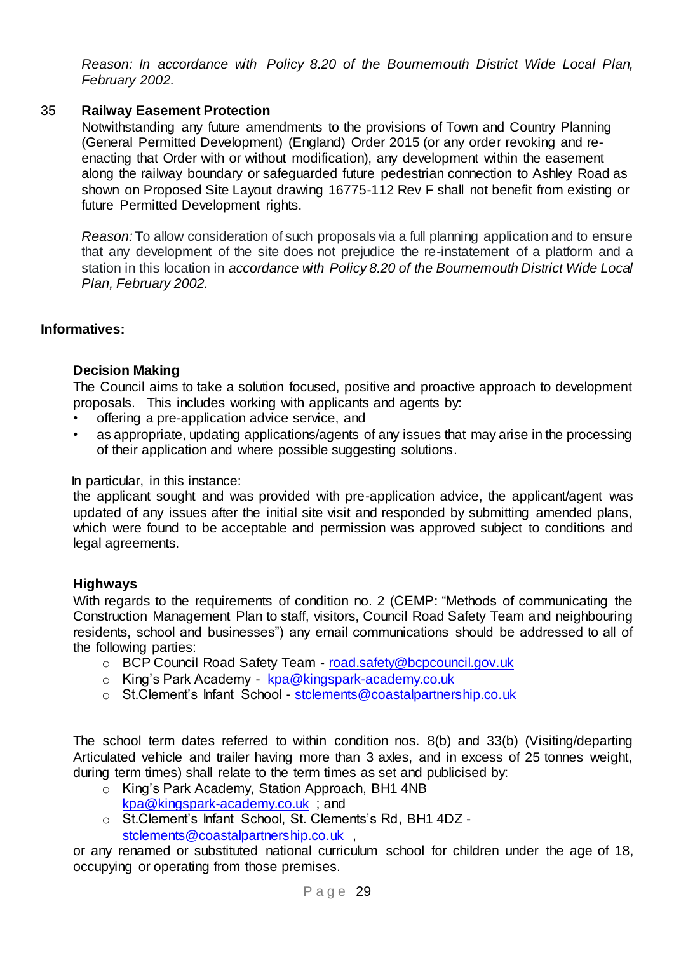*Reason: In accordance with Policy 8.20 of the Bournemouth District Wide Local Plan, February 2002.*

# 35 **Railway Easement Protection**

Notwithstanding any future amendments to the provisions of Town and Country Planning (General Permitted Development) (England) Order 2015 (or any order revoking and reenacting that Order with or without modification), any development within the easement along the railway boundary or safeguarded future pedestrian connection to Ashley Road as shown on Proposed Site Layout drawing 16775-112 Rev F shall not benefit from existing or future Permitted Development rights.

*Reason:* To allow consideration of such proposals via a full planning application and to ensure that any development of the site does not prejudice the re-instatement of a platform and a station in this location in *accordance with Policy 8.20 of the Bournemouth District Wide Local Plan, February 2002.*

# **Informatives:**

# **Decision Making**

The Council aims to take a solution focused, positive and proactive approach to development proposals. This includes working with applicants and agents by:

- offering a pre-application advice service, and
- as appropriate, updating applications/agents of any issues that may arise in the processing of their application and where possible suggesting solutions.

In particular, in this instance:

the applicant sought and was provided with pre-application advice, the applicant/agent was updated of any issues after the initial site visit and responded by submitting amended plans, which were found to be acceptable and permission was approved subject to conditions and legal agreements.

# **Highways**

With regards to the requirements of condition no. 2 (CEMP: "Methods of communicating the Construction Management Plan to staff, visitors, Council Road Safety Team and neighbouring residents, school and businesses") any email communications should be addressed to all of the following parties:

- o BCP Council Road Safety Team [road.safety@bcpcouncil.gov.uk](mailto:road.safety@bcpcouncil.gov.uk)
- o King's Park Academy [kpa@kingspark-academy.co.uk](mailto:kpa@kingspark-academy.co.uk)
- o St.Clement's Infant School [stclements@coastalpartnership.co.uk](mailto:stclements@coastalpartnership.co.uk)

The school term dates referred to within condition nos. 8(b) and 33(b) (Visiting/departing Articulated vehicle and trailer having more than 3 axles, and in excess of 25 tonnes weight, during term times) shall relate to the term times as set and publicised by:

- o King's Park Academy, Station Approach, BH1 4NB [kpa@kingspark-academy.co.uk](mailto:kpa@kingspark-academy.co.uk) ; and
- o St.Clement's Infant School, St. Clements's Rd, BH1 4DZ [stclements@coastalpartnership.co.uk](mailto:stclements@coastalpartnership.co.uk) ,

or any renamed or substituted national curriculum school for children under the age of 18, occupying or operating from those premises.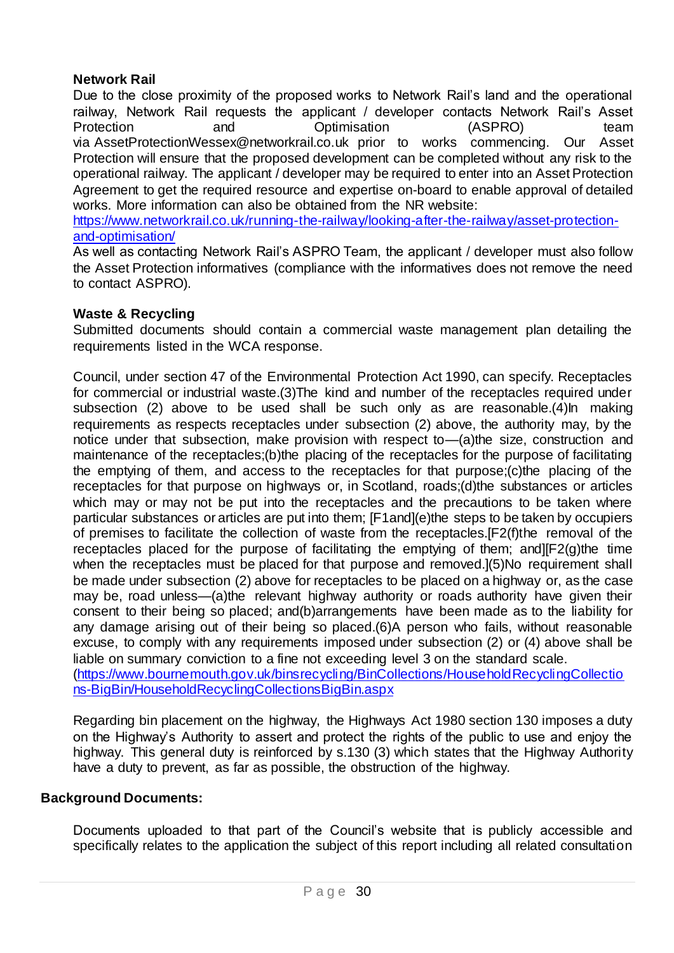# **Network Rail**

Due to the close proximity of the proposed works to Network Rail's land and the operational railway, Network Rail requests the applicant / developer contacts Network Rail's Asset<br>Protection and Dotimisation (ASPRO) team Protection and Optimisation (ASPRO) team via [AssetProtectionWessex@networkrail.co.uk](mailto:AssetProtectionWessex@networkrail.co.uk) prior to works commencing. Our Asset Protection will ensure that the proposed development can be completed without any risk to the operational railway. The applicant / developer may be required to enter into an Asset Protection Agreement to get the required resource and expertise on-board to enable approval of detailed works. More information can also be obtained from the NR website:

[https://www.networkrail.co.uk/running-the-railway/looking-after-the-railway/asset-protection](https://www.networkrail.co.uk/running-the-railway/looking-after-the-railway/asset-protection-and-optimisation/)[and-optimisation/](https://www.networkrail.co.uk/running-the-railway/looking-after-the-railway/asset-protection-and-optimisation/)

As well as contacting Network Rail's ASPRO Team, the applicant / developer must also follow the Asset Protection informatives (compliance with the informatives does not remove the need to contact ASPRO).

# **Waste & Recycling**

Submitted documents should contain a commercial waste management plan detailing the requirements listed in the WCA response.

Council, under section 47 of the Environmental Protection Act 1990, can specify. Receptacles for commercial or industrial waste.(3)The kind and number of the receptacles required under subsection (2) above to be used shall be such only as are reasonable.(4)In making requirements as respects receptacles under subsection (2) above, the authority may, by the notice under that subsection, make provision with respect to—(a)the size, construction and maintenance of the receptacles;(b)the placing of the receptacles for the purpose of facilitating the emptying of them, and access to the receptacles for that purpose;(c)the placing of the receptacles for that purpose on highways or, in Scotland, roads;(d)the substances or articles which may or may not be put into the receptacles and the precautions to be taken where particular substances or articles are put into them; [F1and](e)the steps to be taken by occupiers of premises to facilitate the collection of waste from the receptacles.[F2(f)the removal of the receptacles placed for the purpose of facilitating the emptying of them; and  $[Fe(1)]$  fractionwhen the receptacles must be placed for that purpose and removed.](5)No requirement shall be made under subsection (2) above for receptacles to be placed on a highway or, as the case may be, road unless—(a)the relevant highway authority or roads authority have given their consent to their being so placed; and(b)arrangements have been made as to the liability for any damage arising out of their being so placed.(6)A person who fails, without reasonable excuse, to comply with any requirements imposed under subsection (2) or (4) above shall be liable on summary conviction to a fine not exceeding level 3 on the standard scale. [\(https://www.bournemouth.gov.uk/binsrecycling/BinCollections/HouseholdRecyclingCollectio](https://www.bournemouth.gov.uk/binsrecycling/BinCollections/HouseholdRecyclingCollections-BigBin/HouseholdRecyclingCollectionsBigBin.aspx)

[ns-BigBin/HouseholdRecyclingCollectionsBigBin.aspx](https://www.bournemouth.gov.uk/binsrecycling/BinCollections/HouseholdRecyclingCollections-BigBin/HouseholdRecyclingCollectionsBigBin.aspx)

Regarding bin placement on the highway, the Highways Act 1980 section 130 imposes a duty on the Highway's Authority to assert and protect the rights of the public to use and enjoy the highway. This general duty is reinforced by s.130 (3) which states that the Highway Authority have a duty to prevent, as far as possible, the obstruction of the highway.

#### **Background Documents:**

Documents uploaded to that part of the Council's website that is publicly accessible and specifically relates to the application the subject of this report including all related consultation